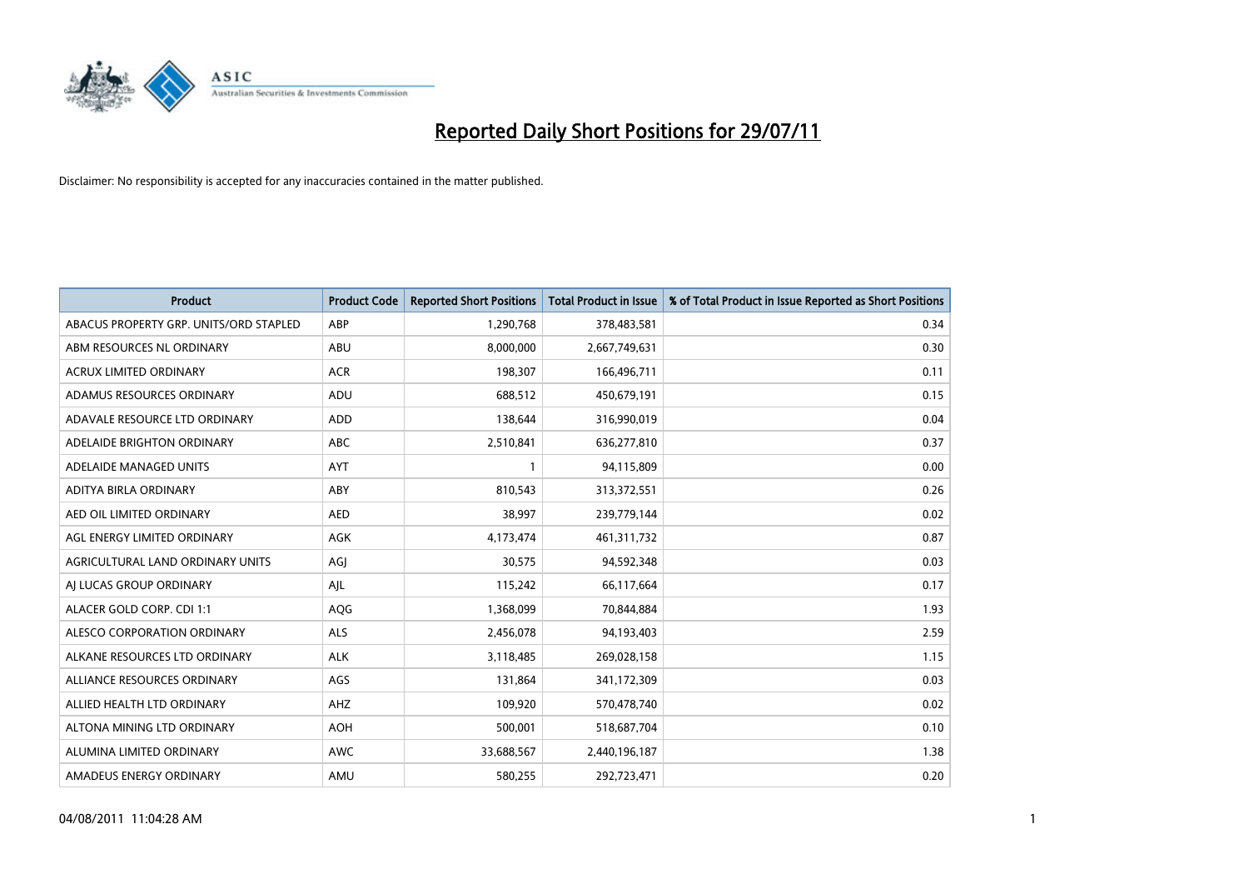

| <b>Product</b>                         | <b>Product Code</b> | <b>Reported Short Positions</b> | <b>Total Product in Issue</b> | % of Total Product in Issue Reported as Short Positions |
|----------------------------------------|---------------------|---------------------------------|-------------------------------|---------------------------------------------------------|
| ABACUS PROPERTY GRP. UNITS/ORD STAPLED | ABP                 | 1,290,768                       | 378,483,581                   | 0.34                                                    |
| ABM RESOURCES NL ORDINARY              | ABU                 | 8,000,000                       | 2,667,749,631                 | 0.30                                                    |
| <b>ACRUX LIMITED ORDINARY</b>          | <b>ACR</b>          | 198,307                         | 166,496,711                   | 0.11                                                    |
| ADAMUS RESOURCES ORDINARY              | ADU                 | 688,512                         | 450,679,191                   | 0.15                                                    |
| ADAVALE RESOURCE LTD ORDINARY          | <b>ADD</b>          | 138.644                         | 316,990,019                   | 0.04                                                    |
| ADELAIDE BRIGHTON ORDINARY             | <b>ABC</b>          | 2,510,841                       | 636,277,810                   | 0.37                                                    |
| ADELAIDE MANAGED UNITS                 | <b>AYT</b>          |                                 | 94,115,809                    | 0.00                                                    |
| ADITYA BIRLA ORDINARY                  | ABY                 | 810,543                         | 313,372,551                   | 0.26                                                    |
| AED OIL LIMITED ORDINARY               | <b>AED</b>          | 38,997                          | 239,779,144                   | 0.02                                                    |
| AGL ENERGY LIMITED ORDINARY            | <b>AGK</b>          | 4,173,474                       | 461,311,732                   | 0.87                                                    |
| AGRICULTURAL LAND ORDINARY UNITS       | AGJ                 | 30,575                          | 94,592,348                    | 0.03                                                    |
| AI LUCAS GROUP ORDINARY                | AJL                 | 115,242                         | 66,117,664                    | 0.17                                                    |
| ALACER GOLD CORP. CDI 1:1              | AQG                 | 1,368,099                       | 70,844,884                    | 1.93                                                    |
| ALESCO CORPORATION ORDINARY            | <b>ALS</b>          | 2,456,078                       | 94,193,403                    | 2.59                                                    |
| ALKANE RESOURCES LTD ORDINARY          | <b>ALK</b>          | 3,118,485                       | 269,028,158                   | 1.15                                                    |
| ALLIANCE RESOURCES ORDINARY            | AGS                 | 131,864                         | 341,172,309                   | 0.03                                                    |
| ALLIED HEALTH LTD ORDINARY             | <b>AHZ</b>          | 109,920                         | 570,478,740                   | 0.02                                                    |
| ALTONA MINING LTD ORDINARY             | <b>AOH</b>          | 500,001                         | 518,687,704                   | 0.10                                                    |
| ALUMINA LIMITED ORDINARY               | <b>AWC</b>          | 33,688,567                      | 2,440,196,187                 | 1.38                                                    |
| AMADEUS ENERGY ORDINARY                | AMU                 | 580.255                         | 292,723,471                   | 0.20                                                    |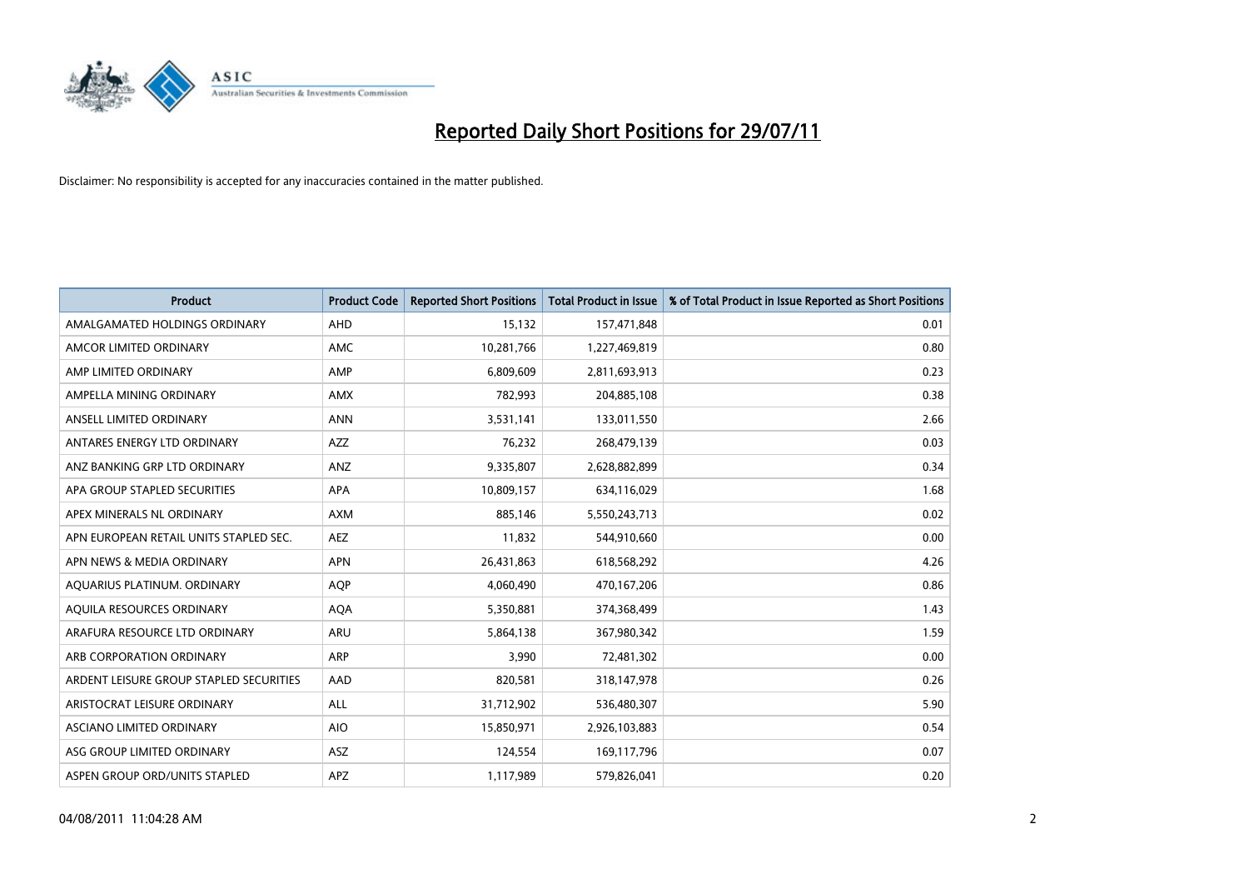

| <b>Product</b>                          | <b>Product Code</b> | <b>Reported Short Positions</b> | <b>Total Product in Issue</b> | % of Total Product in Issue Reported as Short Positions |
|-----------------------------------------|---------------------|---------------------------------|-------------------------------|---------------------------------------------------------|
| AMALGAMATED HOLDINGS ORDINARY           | AHD                 | 15,132                          | 157,471,848                   | 0.01                                                    |
| AMCOR LIMITED ORDINARY                  | <b>AMC</b>          | 10,281,766                      | 1,227,469,819                 | 0.80                                                    |
| AMP LIMITED ORDINARY                    | AMP                 | 6,809,609                       | 2,811,693,913                 | 0.23                                                    |
| AMPELLA MINING ORDINARY                 | <b>AMX</b>          | 782,993                         | 204,885,108                   | 0.38                                                    |
| ANSELL LIMITED ORDINARY                 | <b>ANN</b>          | 3,531,141                       | 133,011,550                   | 2.66                                                    |
| ANTARES ENERGY LTD ORDINARY             | <b>AZZ</b>          | 76,232                          | 268,479,139                   | 0.03                                                    |
| ANZ BANKING GRP LTD ORDINARY            | <b>ANZ</b>          | 9,335,807                       | 2,628,882,899                 | 0.34                                                    |
| APA GROUP STAPLED SECURITIES            | <b>APA</b>          | 10,809,157                      | 634,116,029                   | 1.68                                                    |
| APEX MINERALS NL ORDINARY               | <b>AXM</b>          | 885,146                         | 5,550,243,713                 | 0.02                                                    |
| APN EUROPEAN RETAIL UNITS STAPLED SEC.  | <b>AEZ</b>          | 11,832                          | 544,910,660                   | 0.00                                                    |
| APN NEWS & MEDIA ORDINARY               | <b>APN</b>          | 26,431,863                      | 618,568,292                   | 4.26                                                    |
| AQUARIUS PLATINUM. ORDINARY             | <b>AOP</b>          | 4,060,490                       | 470,167,206                   | 0.86                                                    |
| AQUILA RESOURCES ORDINARY               | <b>AQA</b>          | 5,350,881                       | 374,368,499                   | 1.43                                                    |
| ARAFURA RESOURCE LTD ORDINARY           | <b>ARU</b>          | 5,864,138                       | 367,980,342                   | 1.59                                                    |
| ARB CORPORATION ORDINARY                | <b>ARP</b>          | 3,990                           | 72,481,302                    | 0.00                                                    |
| ARDENT LEISURE GROUP STAPLED SECURITIES | AAD                 | 820,581                         | 318,147,978                   | 0.26                                                    |
| ARISTOCRAT LEISURE ORDINARY             | <b>ALL</b>          | 31,712,902                      | 536,480,307                   | 5.90                                                    |
| ASCIANO LIMITED ORDINARY                | <b>AIO</b>          | 15,850,971                      | 2,926,103,883                 | 0.54                                                    |
| ASG GROUP LIMITED ORDINARY              | <b>ASZ</b>          | 124,554                         | 169,117,796                   | 0.07                                                    |
| ASPEN GROUP ORD/UNITS STAPLED           | <b>APZ</b>          | 1,117,989                       | 579,826,041                   | 0.20                                                    |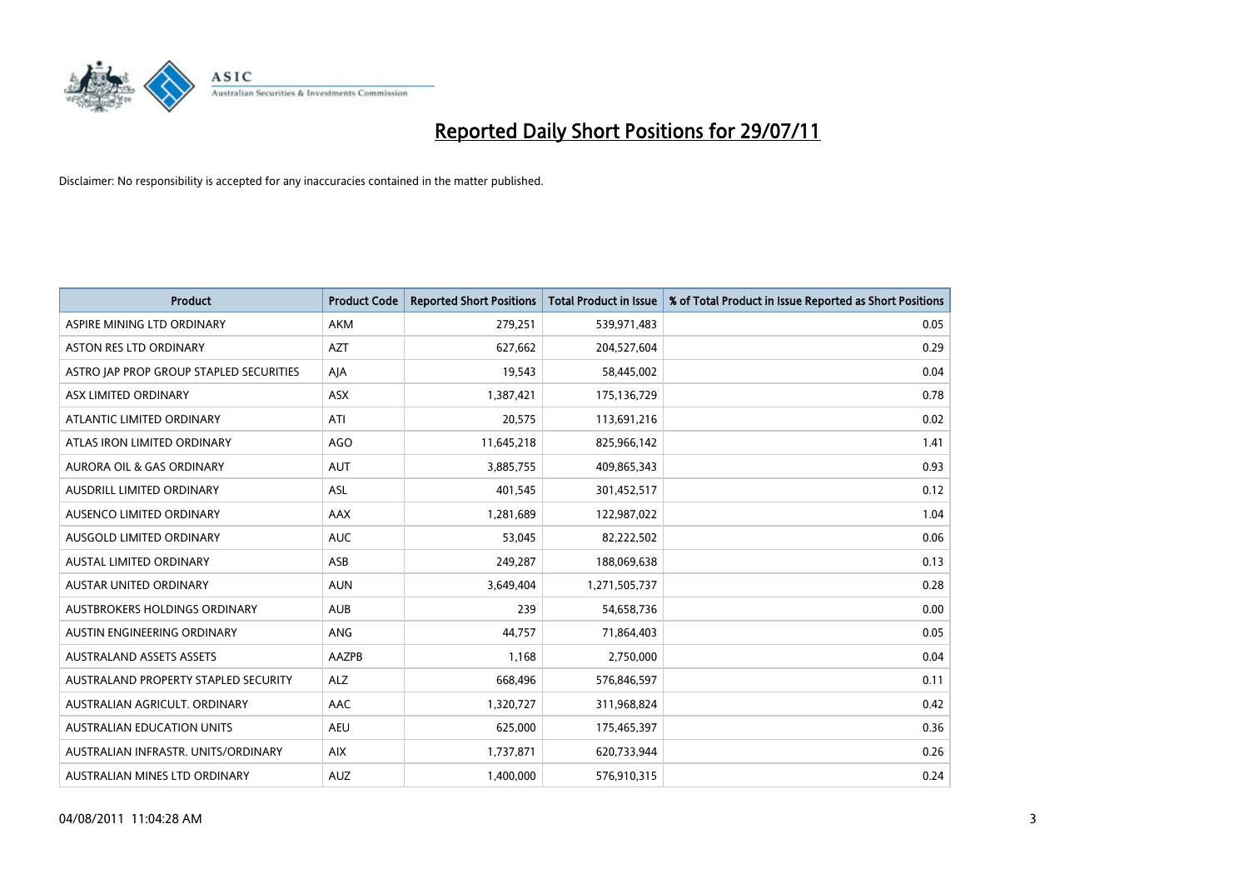

| <b>Product</b>                          | <b>Product Code</b> | <b>Reported Short Positions</b> | <b>Total Product in Issue</b> | % of Total Product in Issue Reported as Short Positions |
|-----------------------------------------|---------------------|---------------------------------|-------------------------------|---------------------------------------------------------|
| ASPIRE MINING LTD ORDINARY              | <b>AKM</b>          | 279,251                         | 539,971,483                   | 0.05                                                    |
| <b>ASTON RES LTD ORDINARY</b>           | <b>AZT</b>          | 627,662                         | 204,527,604                   | 0.29                                                    |
| ASTRO JAP PROP GROUP STAPLED SECURITIES | AJA                 | 19,543                          | 58,445,002                    | 0.04                                                    |
| ASX LIMITED ORDINARY                    | <b>ASX</b>          | 1,387,421                       | 175,136,729                   | 0.78                                                    |
| ATLANTIC LIMITED ORDINARY               | ATI                 | 20,575                          | 113,691,216                   | 0.02                                                    |
| ATLAS IRON LIMITED ORDINARY             | <b>AGO</b>          | 11,645,218                      | 825,966,142                   | 1.41                                                    |
| <b>AURORA OIL &amp; GAS ORDINARY</b>    | <b>AUT</b>          | 3,885,755                       | 409,865,343                   | 0.93                                                    |
| <b>AUSDRILL LIMITED ORDINARY</b>        | <b>ASL</b>          | 401,545                         | 301,452,517                   | 0.12                                                    |
| AUSENCO LIMITED ORDINARY                | <b>AAX</b>          | 1,281,689                       | 122,987,022                   | 1.04                                                    |
| AUSGOLD LIMITED ORDINARY                | <b>AUC</b>          | 53,045                          | 82,222,502                    | 0.06                                                    |
| AUSTAL LIMITED ORDINARY                 | ASB                 | 249,287                         | 188,069,638                   | 0.13                                                    |
| <b>AUSTAR UNITED ORDINARY</b>           | <b>AUN</b>          | 3,649,404                       | 1,271,505,737                 | 0.28                                                    |
| AUSTBROKERS HOLDINGS ORDINARY           | <b>AUB</b>          | 239                             | 54,658,736                    | 0.00                                                    |
| AUSTIN ENGINEERING ORDINARY             | ANG                 | 44.757                          | 71,864,403                    | 0.05                                                    |
| AUSTRALAND ASSETS ASSETS                | AAZPB               | 1,168                           | 2,750,000                     | 0.04                                                    |
| AUSTRALAND PROPERTY STAPLED SECURITY    | <b>ALZ</b>          | 668,496                         | 576,846,597                   | 0.11                                                    |
| AUSTRALIAN AGRICULT, ORDINARY           | AAC                 | 1,320,727                       | 311,968,824                   | 0.42                                                    |
| AUSTRALIAN EDUCATION UNITS              | <b>AEU</b>          | 625,000                         | 175,465,397                   | 0.36                                                    |
| AUSTRALIAN INFRASTR, UNITS/ORDINARY     | <b>AIX</b>          | 1,737,871                       | 620,733,944                   | 0.26                                                    |
| AUSTRALIAN MINES LTD ORDINARY           | <b>AUZ</b>          | 1.400.000                       | 576,910,315                   | 0.24                                                    |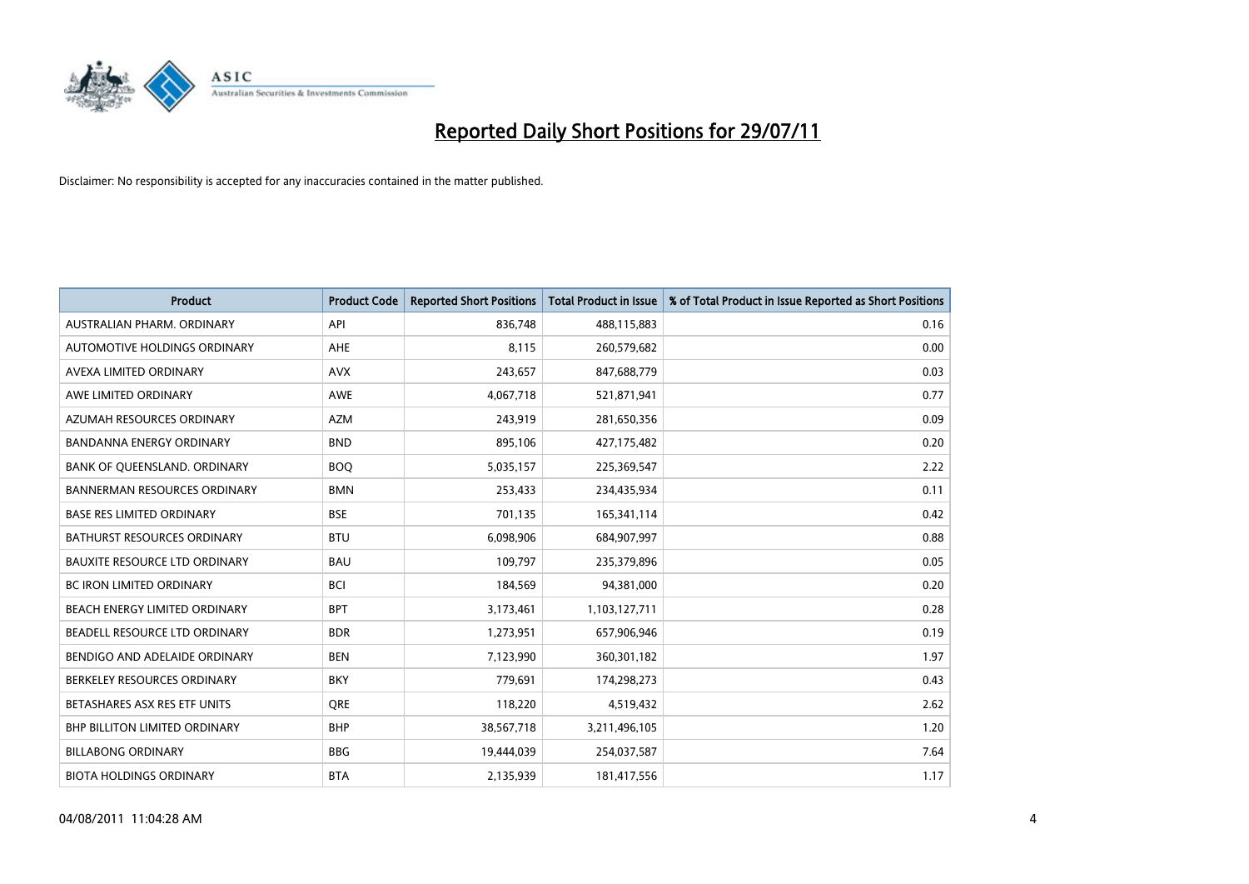

| <b>Product</b>                       | <b>Product Code</b> | <b>Reported Short Positions</b> | <b>Total Product in Issue</b> | % of Total Product in Issue Reported as Short Positions |
|--------------------------------------|---------------------|---------------------------------|-------------------------------|---------------------------------------------------------|
| AUSTRALIAN PHARM, ORDINARY           | API                 | 836,748                         | 488,115,883                   | 0.16                                                    |
| AUTOMOTIVE HOLDINGS ORDINARY         | <b>AHE</b>          | 8,115                           | 260,579,682                   | 0.00                                                    |
| AVEXA LIMITED ORDINARY               | <b>AVX</b>          | 243,657                         | 847,688,779                   | 0.03                                                    |
| AWE LIMITED ORDINARY                 | AWE                 | 4,067,718                       | 521,871,941                   | 0.77                                                    |
| AZUMAH RESOURCES ORDINARY            | <b>AZM</b>          | 243,919                         | 281,650,356                   | 0.09                                                    |
| <b>BANDANNA ENERGY ORDINARY</b>      | <b>BND</b>          | 895,106                         | 427,175,482                   | 0.20                                                    |
| BANK OF QUEENSLAND. ORDINARY         | <b>BOO</b>          | 5,035,157                       | 225,369,547                   | 2.22                                                    |
| <b>BANNERMAN RESOURCES ORDINARY</b>  | <b>BMN</b>          | 253,433                         | 234,435,934                   | 0.11                                                    |
| <b>BASE RES LIMITED ORDINARY</b>     | <b>BSE</b>          | 701,135                         | 165,341,114                   | 0.42                                                    |
| <b>BATHURST RESOURCES ORDINARY</b>   | <b>BTU</b>          | 6,098,906                       | 684,907,997                   | 0.88                                                    |
| <b>BAUXITE RESOURCE LTD ORDINARY</b> | <b>BAU</b>          | 109,797                         | 235,379,896                   | 0.05                                                    |
| <b>BC IRON LIMITED ORDINARY</b>      | <b>BCI</b>          | 184,569                         | 94,381,000                    | 0.20                                                    |
| <b>BEACH ENERGY LIMITED ORDINARY</b> | <b>BPT</b>          | 3,173,461                       | 1,103,127,711                 | 0.28                                                    |
| BEADELL RESOURCE LTD ORDINARY        | <b>BDR</b>          | 1,273,951                       | 657,906,946                   | 0.19                                                    |
| BENDIGO AND ADELAIDE ORDINARY        | <b>BEN</b>          | 7,123,990                       | 360,301,182                   | 1.97                                                    |
| BERKELEY RESOURCES ORDINARY          | <b>BKY</b>          | 779,691                         | 174,298,273                   | 0.43                                                    |
| BETASHARES ASX RES ETF UNITS         | <b>ORE</b>          | 118,220                         | 4,519,432                     | 2.62                                                    |
| BHP BILLITON LIMITED ORDINARY        | <b>BHP</b>          | 38,567,718                      | 3,211,496,105                 | 1.20                                                    |
| <b>BILLABONG ORDINARY</b>            | <b>BBG</b>          | 19,444,039                      | 254,037,587                   | 7.64                                                    |
| <b>BIOTA HOLDINGS ORDINARY</b>       | <b>BTA</b>          | 2,135,939                       | 181,417,556                   | 1.17                                                    |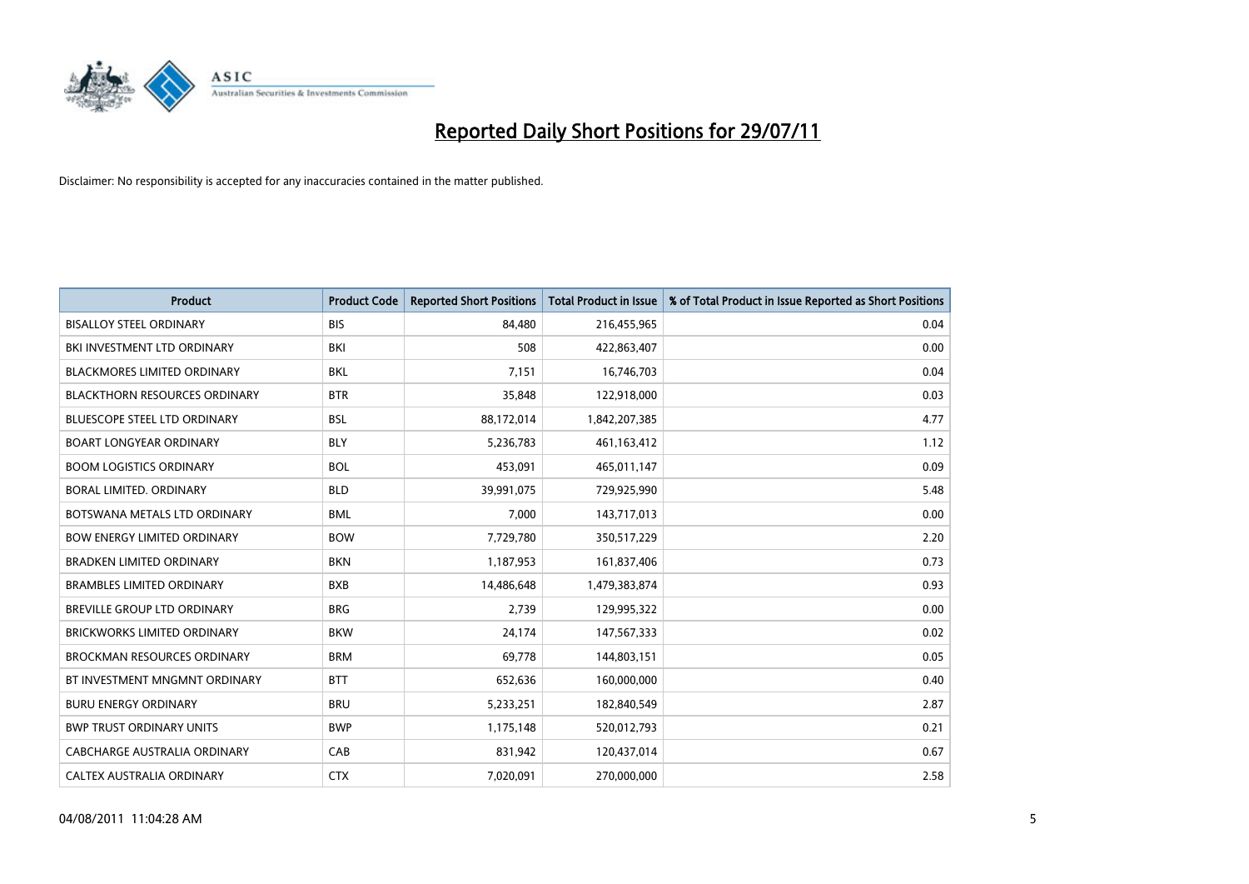

| <b>Product</b>                       | <b>Product Code</b> | <b>Reported Short Positions</b> | <b>Total Product in Issue</b> | % of Total Product in Issue Reported as Short Positions |
|--------------------------------------|---------------------|---------------------------------|-------------------------------|---------------------------------------------------------|
| <b>BISALLOY STEEL ORDINARY</b>       | <b>BIS</b>          | 84,480                          | 216,455,965                   | 0.04                                                    |
| BKI INVESTMENT LTD ORDINARY          | BKI                 | 508                             | 422,863,407                   | 0.00                                                    |
| <b>BLACKMORES LIMITED ORDINARY</b>   | <b>BKL</b>          | 7.151                           | 16,746,703                    | 0.04                                                    |
| <b>BLACKTHORN RESOURCES ORDINARY</b> | <b>BTR</b>          | 35,848                          | 122,918,000                   | 0.03                                                    |
| <b>BLUESCOPE STEEL LTD ORDINARY</b>  | <b>BSL</b>          | 88,172,014                      | 1,842,207,385                 | 4.77                                                    |
| <b>BOART LONGYEAR ORDINARY</b>       | <b>BLY</b>          | 5,236,783                       | 461,163,412                   | 1.12                                                    |
| <b>BOOM LOGISTICS ORDINARY</b>       | <b>BOL</b>          | 453,091                         | 465,011,147                   | 0.09                                                    |
| BORAL LIMITED. ORDINARY              | <b>BLD</b>          | 39,991,075                      | 729,925,990                   | 5.48                                                    |
| BOTSWANA METALS LTD ORDINARY         | <b>BML</b>          | 7,000                           | 143,717,013                   | 0.00                                                    |
| <b>BOW ENERGY LIMITED ORDINARY</b>   | <b>BOW</b>          | 7,729,780                       | 350,517,229                   | 2.20                                                    |
| <b>BRADKEN LIMITED ORDINARY</b>      | <b>BKN</b>          | 1,187,953                       | 161,837,406                   | 0.73                                                    |
| <b>BRAMBLES LIMITED ORDINARY</b>     | <b>BXB</b>          | 14,486,648                      | 1,479,383,874                 | 0.93                                                    |
| BREVILLE GROUP LTD ORDINARY          | <b>BRG</b>          | 2,739                           | 129,995,322                   | 0.00                                                    |
| <b>BRICKWORKS LIMITED ORDINARY</b>   | <b>BKW</b>          | 24,174                          | 147,567,333                   | 0.02                                                    |
| <b>BROCKMAN RESOURCES ORDINARY</b>   | <b>BRM</b>          | 69,778                          | 144,803,151                   | 0.05                                                    |
| BT INVESTMENT MNGMNT ORDINARY        | <b>BTT</b>          | 652,636                         | 160,000,000                   | 0.40                                                    |
| <b>BURU ENERGY ORDINARY</b>          | <b>BRU</b>          | 5,233,251                       | 182,840,549                   | 2.87                                                    |
| <b>BWP TRUST ORDINARY UNITS</b>      | <b>BWP</b>          | 1,175,148                       | 520,012,793                   | 0.21                                                    |
| CABCHARGE AUSTRALIA ORDINARY         | CAB                 | 831,942                         | 120,437,014                   | 0.67                                                    |
| CALTEX AUSTRALIA ORDINARY            | <b>CTX</b>          | 7,020,091                       | 270,000,000                   | 2.58                                                    |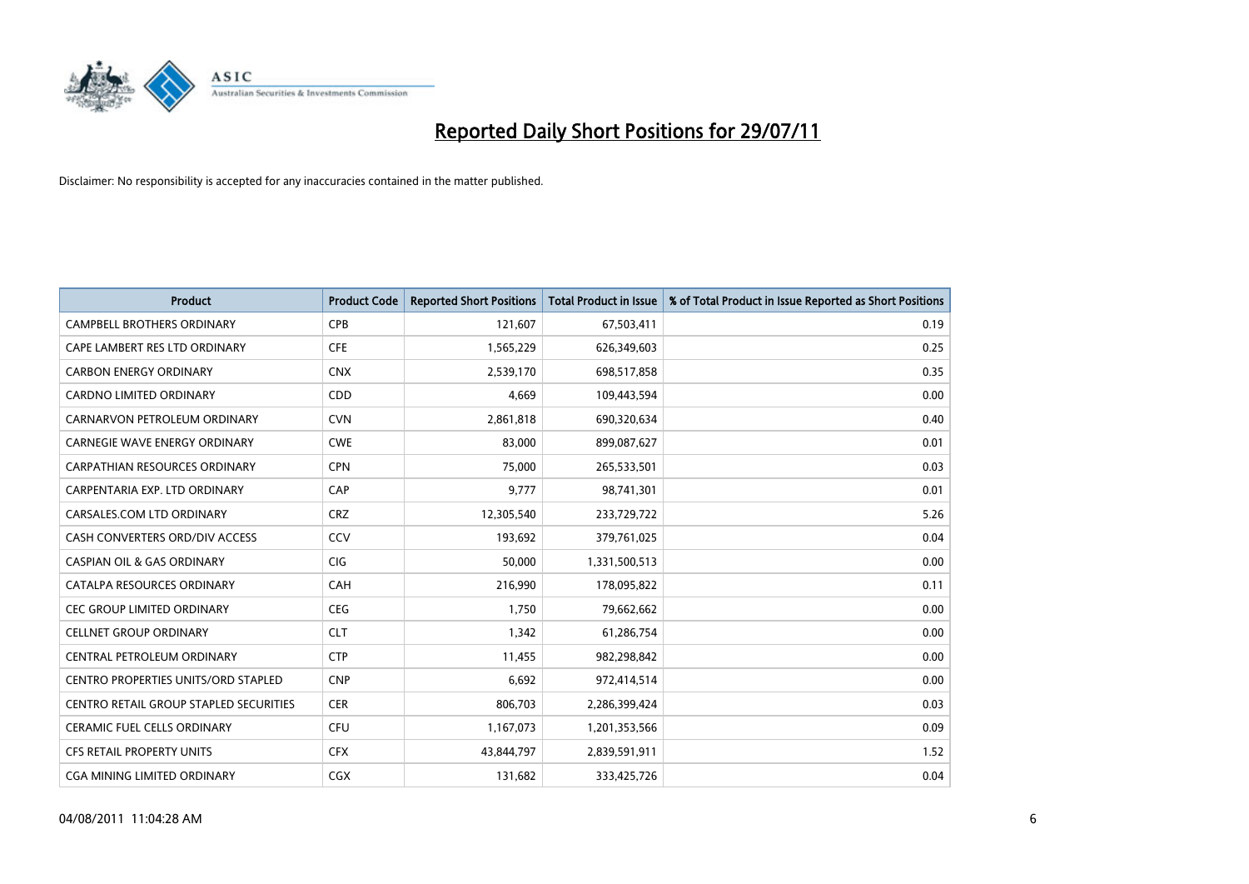

| <b>Product</b>                         | <b>Product Code</b> | <b>Reported Short Positions</b> | <b>Total Product in Issue</b> | % of Total Product in Issue Reported as Short Positions |
|----------------------------------------|---------------------|---------------------------------|-------------------------------|---------------------------------------------------------|
| <b>CAMPBELL BROTHERS ORDINARY</b>      | <b>CPB</b>          | 121,607                         | 67,503,411                    | 0.19                                                    |
| CAPE LAMBERT RES LTD ORDINARY          | <b>CFE</b>          | 1,565,229                       | 626,349,603                   | 0.25                                                    |
| <b>CARBON ENERGY ORDINARY</b>          | <b>CNX</b>          | 2,539,170                       | 698,517,858                   | 0.35                                                    |
| CARDNO LIMITED ORDINARY                | <b>CDD</b>          | 4,669                           | 109,443,594                   | 0.00                                                    |
| CARNARVON PETROLEUM ORDINARY           | <b>CVN</b>          | 2,861,818                       | 690,320,634                   | 0.40                                                    |
| <b>CARNEGIE WAVE ENERGY ORDINARY</b>   | <b>CWE</b>          | 83,000                          | 899,087,627                   | 0.01                                                    |
| CARPATHIAN RESOURCES ORDINARY          | <b>CPN</b>          | 75.000                          | 265,533,501                   | 0.03                                                    |
| CARPENTARIA EXP. LTD ORDINARY          | CAP                 | 9,777                           | 98,741,301                    | 0.01                                                    |
| CARSALES.COM LTD ORDINARY              | <b>CRZ</b>          | 12,305,540                      | 233,729,722                   | 5.26                                                    |
| CASH CONVERTERS ORD/DIV ACCESS         | CCV                 | 193,692                         | 379,761,025                   | 0.04                                                    |
| <b>CASPIAN OIL &amp; GAS ORDINARY</b>  | <b>CIG</b>          | 50,000                          | 1,331,500,513                 | 0.00                                                    |
| CATALPA RESOURCES ORDINARY             | CAH                 | 216,990                         | 178,095,822                   | 0.11                                                    |
| <b>CEC GROUP LIMITED ORDINARY</b>      | <b>CEG</b>          | 1.750                           | 79,662,662                    | 0.00                                                    |
| <b>CELLNET GROUP ORDINARY</b>          | <b>CLT</b>          | 1,342                           | 61,286,754                    | 0.00                                                    |
| CENTRAL PETROLEUM ORDINARY             | <b>CTP</b>          | 11,455                          | 982,298,842                   | 0.00                                                    |
| CENTRO PROPERTIES UNITS/ORD STAPLED    | <b>CNP</b>          | 6,692                           | 972,414,514                   | 0.00                                                    |
| CENTRO RETAIL GROUP STAPLED SECURITIES | <b>CER</b>          | 806,703                         | 2,286,399,424                 | 0.03                                                    |
| CERAMIC FUEL CELLS ORDINARY            | CFU                 | 1,167,073                       | 1,201,353,566                 | 0.09                                                    |
| <b>CFS RETAIL PROPERTY UNITS</b>       | <b>CFX</b>          | 43,844,797                      | 2,839,591,911                 | 1.52                                                    |
| <b>CGA MINING LIMITED ORDINARY</b>     | <b>CGX</b>          | 131,682                         | 333,425,726                   | 0.04                                                    |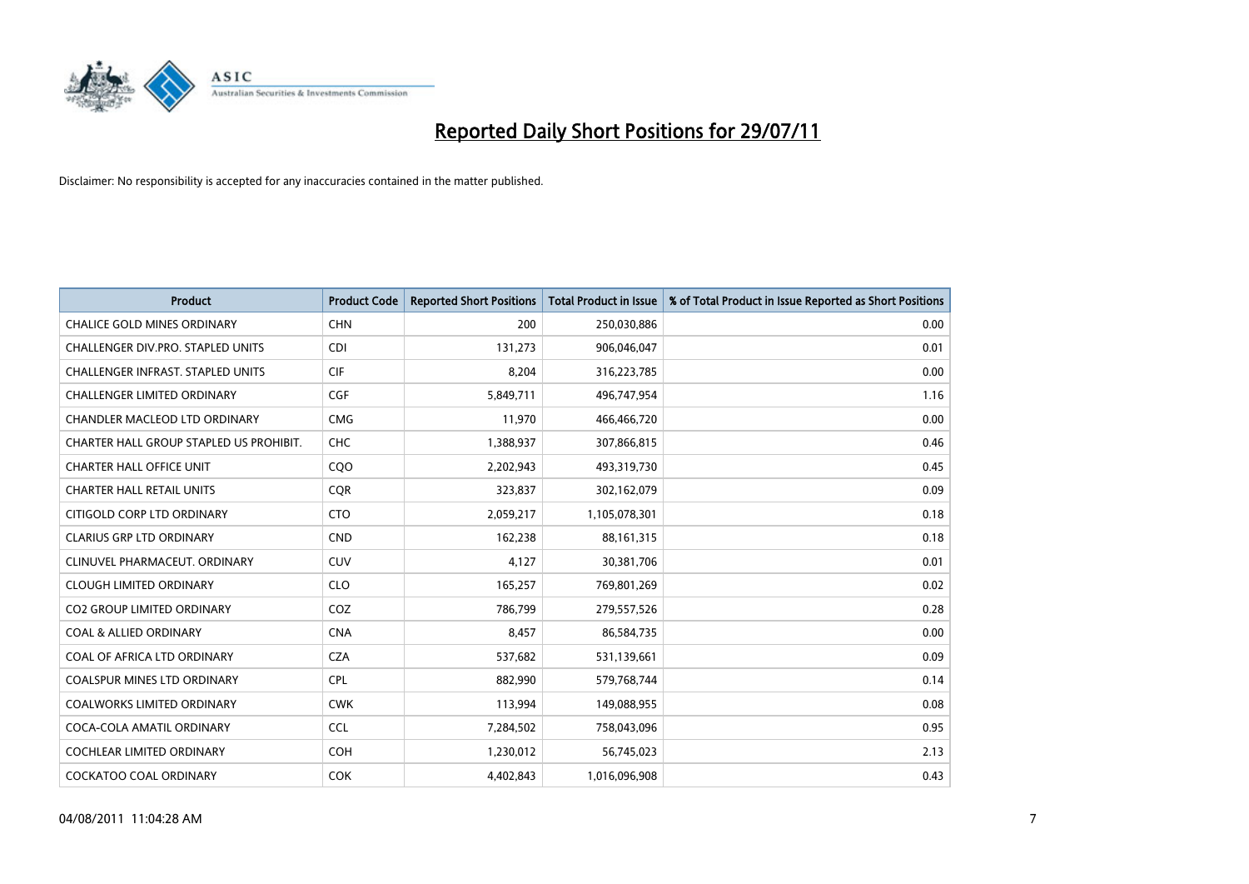

| <b>Product</b>                           | <b>Product Code</b> | <b>Reported Short Positions</b> | Total Product in Issue | % of Total Product in Issue Reported as Short Positions |
|------------------------------------------|---------------------|---------------------------------|------------------------|---------------------------------------------------------|
| <b>CHALICE GOLD MINES ORDINARY</b>       | <b>CHN</b>          | 200                             | 250,030,886            | 0.00                                                    |
| CHALLENGER DIV.PRO. STAPLED UNITS        | <b>CDI</b>          | 131,273                         | 906,046,047            | 0.01                                                    |
| <b>CHALLENGER INFRAST, STAPLED UNITS</b> | <b>CIF</b>          | 8,204                           | 316,223,785            | 0.00                                                    |
| CHALLENGER LIMITED ORDINARY              | <b>CGF</b>          | 5,849,711                       | 496,747,954            | 1.16                                                    |
| CHANDLER MACLEOD LTD ORDINARY            | <b>CMG</b>          | 11,970                          | 466,466,720            | 0.00                                                    |
| CHARTER HALL GROUP STAPLED US PROHIBIT.  | CHC                 | 1,388,937                       | 307,866,815            | 0.46                                                    |
| <b>CHARTER HALL OFFICE UNIT</b>          | CQ <sub>O</sub>     | 2,202,943                       | 493,319,730            | 0.45                                                    |
| <b>CHARTER HALL RETAIL UNITS</b>         | <b>COR</b>          | 323,837                         | 302,162,079            | 0.09                                                    |
| CITIGOLD CORP LTD ORDINARY               | <b>CTO</b>          | 2,059,217                       | 1,105,078,301          | 0.18                                                    |
| <b>CLARIUS GRP LTD ORDINARY</b>          | <b>CND</b>          | 162,238                         | 88,161,315             | 0.18                                                    |
| CLINUVEL PHARMACEUT. ORDINARY            | <b>CUV</b>          | 4,127                           | 30,381,706             | 0.01                                                    |
| <b>CLOUGH LIMITED ORDINARY</b>           | <b>CLO</b>          | 165,257                         | 769,801,269            | 0.02                                                    |
| CO2 GROUP LIMITED ORDINARY               | COZ                 | 786,799                         | 279,557,526            | 0.28                                                    |
| <b>COAL &amp; ALLIED ORDINARY</b>        | <b>CNA</b>          | 8,457                           | 86,584,735             | 0.00                                                    |
| COAL OF AFRICA LTD ORDINARY              | <b>CZA</b>          | 537,682                         | 531,139,661            | 0.09                                                    |
| <b>COALSPUR MINES LTD ORDINARY</b>       | <b>CPL</b>          | 882,990                         | 579,768,744            | 0.14                                                    |
| COALWORKS LIMITED ORDINARY               | <b>CWK</b>          | 113,994                         | 149,088,955            | 0.08                                                    |
| COCA-COLA AMATIL ORDINARY                | <b>CCL</b>          | 7,284,502                       | 758,043,096            | 0.95                                                    |
| COCHLEAR LIMITED ORDINARY                | <b>COH</b>          | 1,230,012                       | 56,745,023             | 2.13                                                    |
| COCKATOO COAL ORDINARY                   | <b>COK</b>          | 4,402,843                       | 1,016,096,908          | 0.43                                                    |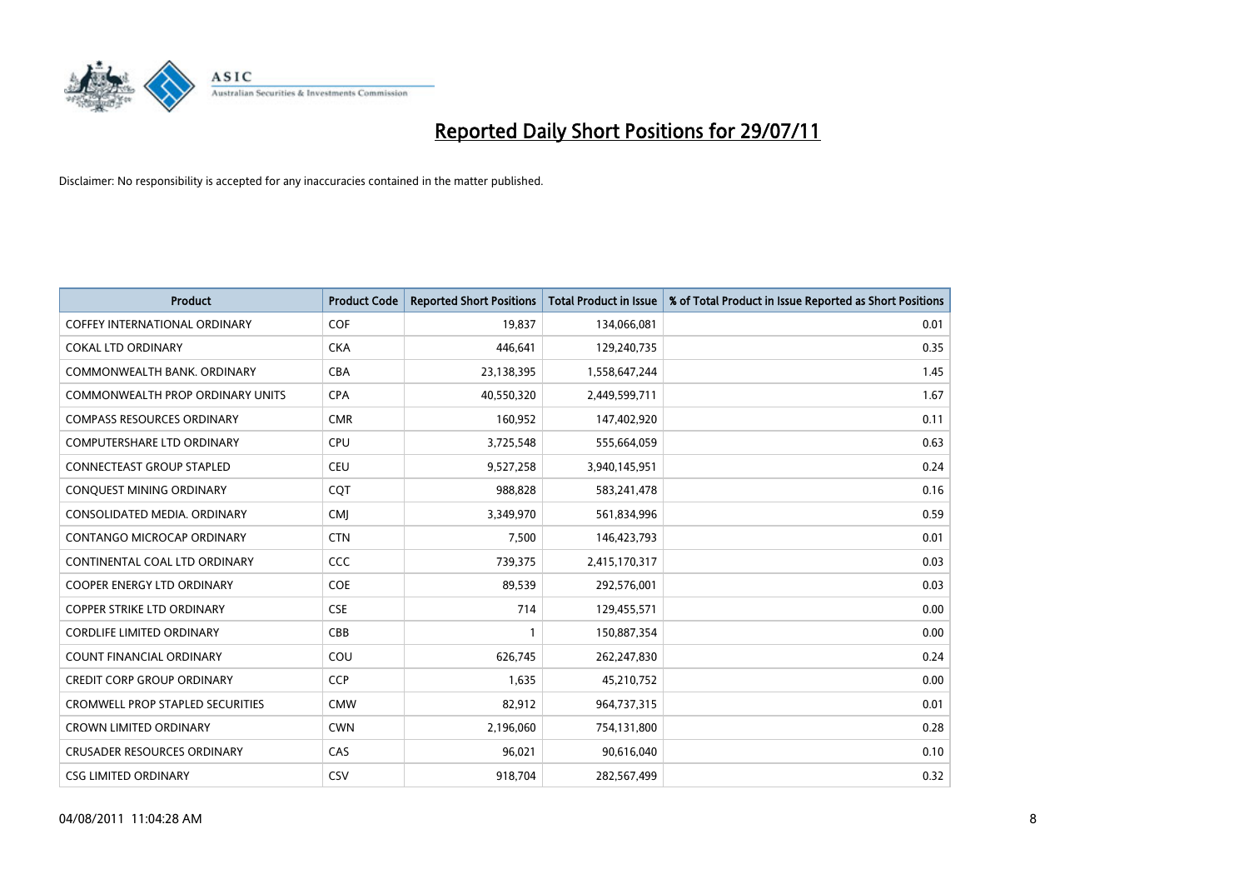

| <b>Product</b>                          | <b>Product Code</b> | <b>Reported Short Positions</b> | <b>Total Product in Issue</b> | % of Total Product in Issue Reported as Short Positions |
|-----------------------------------------|---------------------|---------------------------------|-------------------------------|---------------------------------------------------------|
| <b>COFFEY INTERNATIONAL ORDINARY</b>    | COF                 | 19,837                          | 134,066,081                   | 0.01                                                    |
| <b>COKAL LTD ORDINARY</b>               | <b>CKA</b>          | 446,641                         | 129,240,735                   | 0.35                                                    |
| COMMONWEALTH BANK, ORDINARY             | <b>CBA</b>          | 23,138,395                      | 1,558,647,244                 | 1.45                                                    |
| COMMONWEALTH PROP ORDINARY UNITS        | <b>CPA</b>          | 40,550,320                      | 2,449,599,711                 | 1.67                                                    |
| <b>COMPASS RESOURCES ORDINARY</b>       | <b>CMR</b>          | 160,952                         | 147,402,920                   | 0.11                                                    |
| <b>COMPUTERSHARE LTD ORDINARY</b>       | <b>CPU</b>          | 3,725,548                       | 555,664,059                   | 0.63                                                    |
| <b>CONNECTEAST GROUP STAPLED</b>        | <b>CEU</b>          | 9,527,258                       | 3,940,145,951                 | 0.24                                                    |
| CONQUEST MINING ORDINARY                | CQT                 | 988,828                         | 583,241,478                   | 0.16                                                    |
| CONSOLIDATED MEDIA. ORDINARY            | <b>CMI</b>          | 3,349,970                       | 561,834,996                   | 0.59                                                    |
| CONTANGO MICROCAP ORDINARY              | <b>CTN</b>          | 7,500                           | 146,423,793                   | 0.01                                                    |
| CONTINENTAL COAL LTD ORDINARY           | CCC                 | 739,375                         | 2,415,170,317                 | 0.03                                                    |
| <b>COOPER ENERGY LTD ORDINARY</b>       | <b>COE</b>          | 89,539                          | 292,576,001                   | 0.03                                                    |
| <b>COPPER STRIKE LTD ORDINARY</b>       | <b>CSE</b>          | 714                             | 129,455,571                   | 0.00                                                    |
| <b>CORDLIFE LIMITED ORDINARY</b>        | CBB                 |                                 | 150,887,354                   | 0.00                                                    |
| <b>COUNT FINANCIAL ORDINARY</b>         | COU                 | 626,745                         | 262,247,830                   | 0.24                                                    |
| <b>CREDIT CORP GROUP ORDINARY</b>       | <b>CCP</b>          | 1,635                           | 45,210,752                    | 0.00                                                    |
| <b>CROMWELL PROP STAPLED SECURITIES</b> | <b>CMW</b>          | 82,912                          | 964,737,315                   | 0.01                                                    |
| CROWN LIMITED ORDINARY                  | <b>CWN</b>          | 2,196,060                       | 754,131,800                   | 0.28                                                    |
| <b>CRUSADER RESOURCES ORDINARY</b>      | CAS                 | 96,021                          | 90,616,040                    | 0.10                                                    |
| <b>CSG LIMITED ORDINARY</b>             | CSV                 | 918.704                         | 282,567,499                   | 0.32                                                    |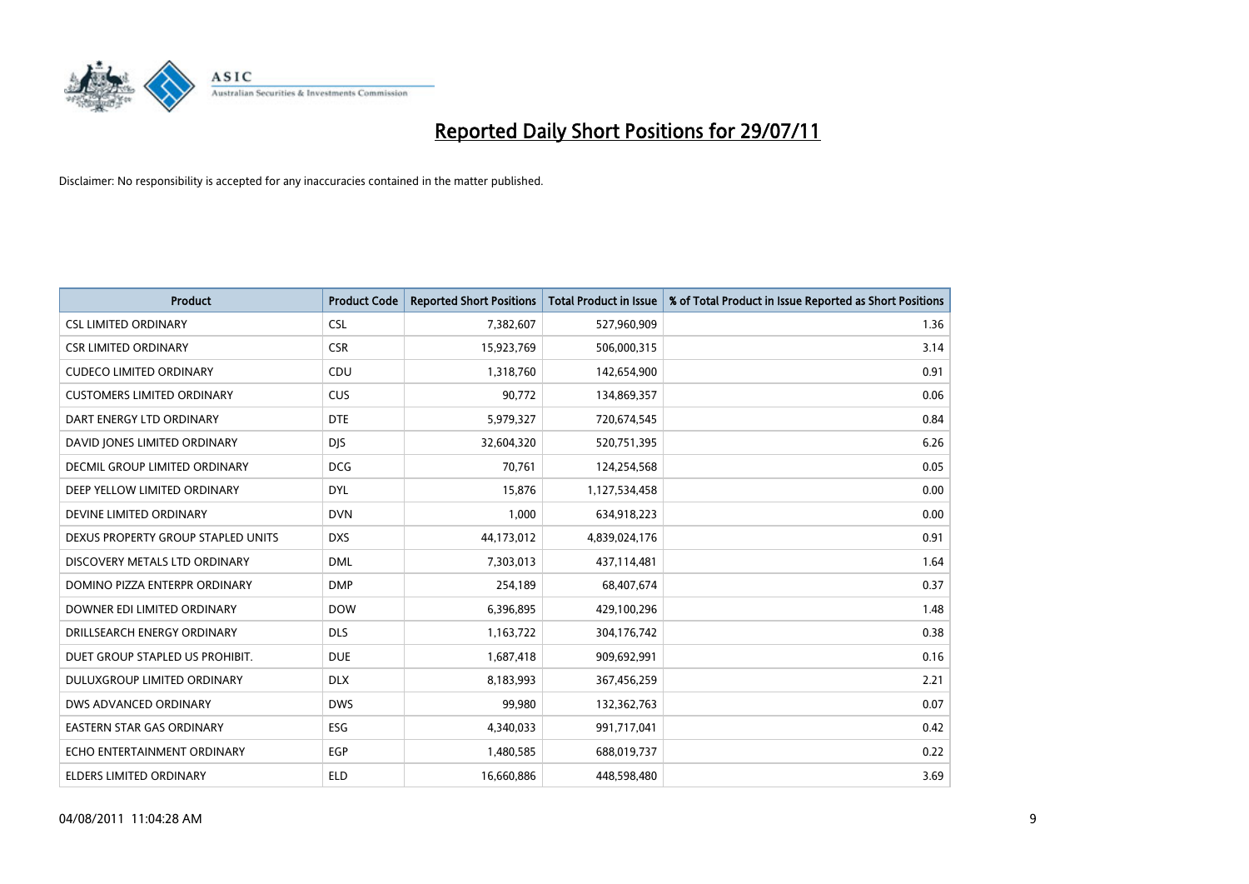

| <b>Product</b>                       | <b>Product Code</b> | <b>Reported Short Positions</b> | <b>Total Product in Issue</b> | % of Total Product in Issue Reported as Short Positions |
|--------------------------------------|---------------------|---------------------------------|-------------------------------|---------------------------------------------------------|
| <b>CSL LIMITED ORDINARY</b>          | <b>CSL</b>          | 7,382,607                       | 527,960,909                   | 1.36                                                    |
| <b>CSR LIMITED ORDINARY</b>          | <b>CSR</b>          | 15,923,769                      | 506,000,315                   | 3.14                                                    |
| <b>CUDECO LIMITED ORDINARY</b>       | CDU                 | 1,318,760                       | 142,654,900                   | 0.91                                                    |
| <b>CUSTOMERS LIMITED ORDINARY</b>    | <b>CUS</b>          | 90,772                          | 134,869,357                   | 0.06                                                    |
| DART ENERGY LTD ORDINARY             | <b>DTE</b>          | 5,979,327                       | 720,674,545                   | 0.84                                                    |
| DAVID JONES LIMITED ORDINARY         | <b>DJS</b>          | 32,604,320                      | 520,751,395                   | 6.26                                                    |
| <b>DECMIL GROUP LIMITED ORDINARY</b> | <b>DCG</b>          | 70,761                          | 124,254,568                   | 0.05                                                    |
| DEEP YELLOW LIMITED ORDINARY         | <b>DYL</b>          | 15,876                          | 1,127,534,458                 | 0.00                                                    |
| DEVINE LIMITED ORDINARY              | <b>DVN</b>          | 1,000                           | 634,918,223                   | 0.00                                                    |
| DEXUS PROPERTY GROUP STAPLED UNITS   | <b>DXS</b>          | 44,173,012                      | 4,839,024,176                 | 0.91                                                    |
| DISCOVERY METALS LTD ORDINARY        | <b>DML</b>          | 7,303,013                       | 437,114,481                   | 1.64                                                    |
| DOMINO PIZZA ENTERPR ORDINARY        | <b>DMP</b>          | 254,189                         | 68,407,674                    | 0.37                                                    |
| DOWNER EDI LIMITED ORDINARY          | <b>DOW</b>          | 6,396,895                       | 429,100,296                   | 1.48                                                    |
| DRILLSEARCH ENERGY ORDINARY          | <b>DLS</b>          | 1,163,722                       | 304,176,742                   | 0.38                                                    |
| DUET GROUP STAPLED US PROHIBIT.      | <b>DUE</b>          | 1,687,418                       | 909,692,991                   | 0.16                                                    |
| DULUXGROUP LIMITED ORDINARY          | <b>DLX</b>          | 8,183,993                       | 367,456,259                   | 2.21                                                    |
| DWS ADVANCED ORDINARY                | <b>DWS</b>          | 99,980                          | 132,362,763                   | 0.07                                                    |
| EASTERN STAR GAS ORDINARY            | ESG                 | 4,340,033                       | 991,717,041                   | 0.42                                                    |
| ECHO ENTERTAINMENT ORDINARY          | <b>EGP</b>          | 1,480,585                       | 688,019,737                   | 0.22                                                    |
| ELDERS LIMITED ORDINARY              | <b>ELD</b>          | 16,660,886                      | 448,598,480                   | 3.69                                                    |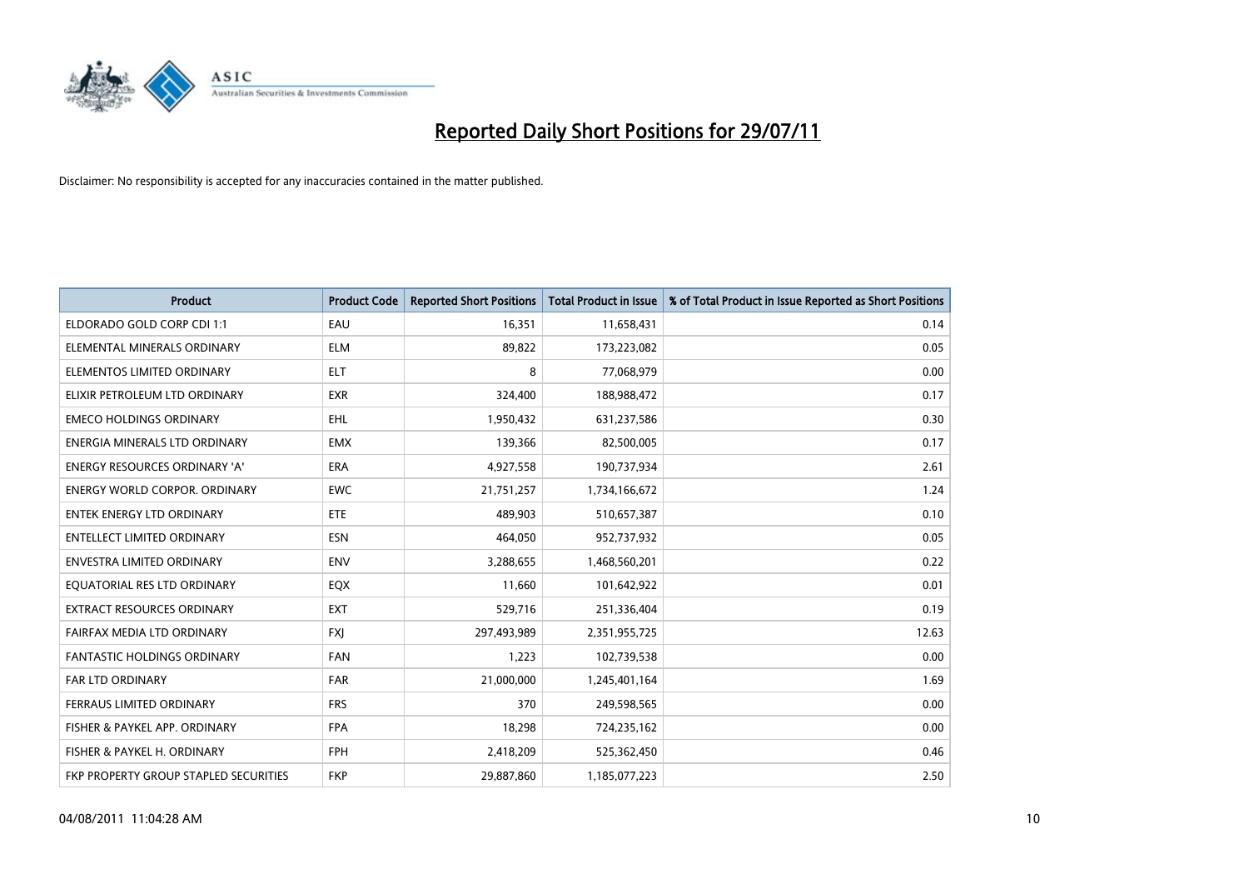

| <b>Product</b>                        | <b>Product Code</b> | <b>Reported Short Positions</b> | <b>Total Product in Issue</b> | % of Total Product in Issue Reported as Short Positions |
|---------------------------------------|---------------------|---------------------------------|-------------------------------|---------------------------------------------------------|
| ELDORADO GOLD CORP CDI 1:1            | EAU                 | 16.351                          | 11,658,431                    | 0.14                                                    |
| ELEMENTAL MINERALS ORDINARY           | <b>ELM</b>          | 89,822                          | 173,223,082                   | 0.05                                                    |
| ELEMENTOS LIMITED ORDINARY            | <b>ELT</b>          | 8                               | 77,068,979                    | 0.00                                                    |
| ELIXIR PETROLEUM LTD ORDINARY         | <b>EXR</b>          | 324,400                         | 188,988,472                   | 0.17                                                    |
| <b>EMECO HOLDINGS ORDINARY</b>        | <b>EHL</b>          | 1,950,432                       | 631,237,586                   | 0.30                                                    |
| ENERGIA MINERALS LTD ORDINARY         | <b>EMX</b>          | 139,366                         | 82,500,005                    | 0.17                                                    |
| <b>ENERGY RESOURCES ORDINARY 'A'</b>  | <b>ERA</b>          | 4,927,558                       | 190,737,934                   | 2.61                                                    |
| <b>ENERGY WORLD CORPOR, ORDINARY</b>  | <b>EWC</b>          | 21,751,257                      | 1,734,166,672                 | 1.24                                                    |
| <b>ENTEK ENERGY LTD ORDINARY</b>      | ETE                 | 489,903                         | 510,657,387                   | 0.10                                                    |
| <b>ENTELLECT LIMITED ORDINARY</b>     | <b>ESN</b>          | 464,050                         | 952,737,932                   | 0.05                                                    |
| <b>ENVESTRA LIMITED ORDINARY</b>      | <b>ENV</b>          | 3,288,655                       | 1,468,560,201                 | 0.22                                                    |
| EQUATORIAL RES LTD ORDINARY           | EQX                 | 11,660                          | 101,642,922                   | 0.01                                                    |
| <b>EXTRACT RESOURCES ORDINARY</b>     | <b>EXT</b>          | 529,716                         | 251,336,404                   | 0.19                                                    |
| FAIRFAX MEDIA LTD ORDINARY            | <b>FXI</b>          | 297,493,989                     | 2,351,955,725                 | 12.63                                                   |
| <b>FANTASTIC HOLDINGS ORDINARY</b>    | <b>FAN</b>          | 1,223                           | 102,739,538                   | 0.00                                                    |
| <b>FAR LTD ORDINARY</b>               | <b>FAR</b>          | 21,000,000                      | 1,245,401,164                 | 1.69                                                    |
| FERRAUS LIMITED ORDINARY              | <b>FRS</b>          | 370                             | 249,598,565                   | 0.00                                                    |
| FISHER & PAYKEL APP. ORDINARY         | <b>FPA</b>          | 18,298                          | 724,235,162                   | 0.00                                                    |
| FISHER & PAYKEL H. ORDINARY           | <b>FPH</b>          | 2,418,209                       | 525,362,450                   | 0.46                                                    |
| FKP PROPERTY GROUP STAPLED SECURITIES | <b>FKP</b>          | 29,887,860                      | 1,185,077,223                 | 2.50                                                    |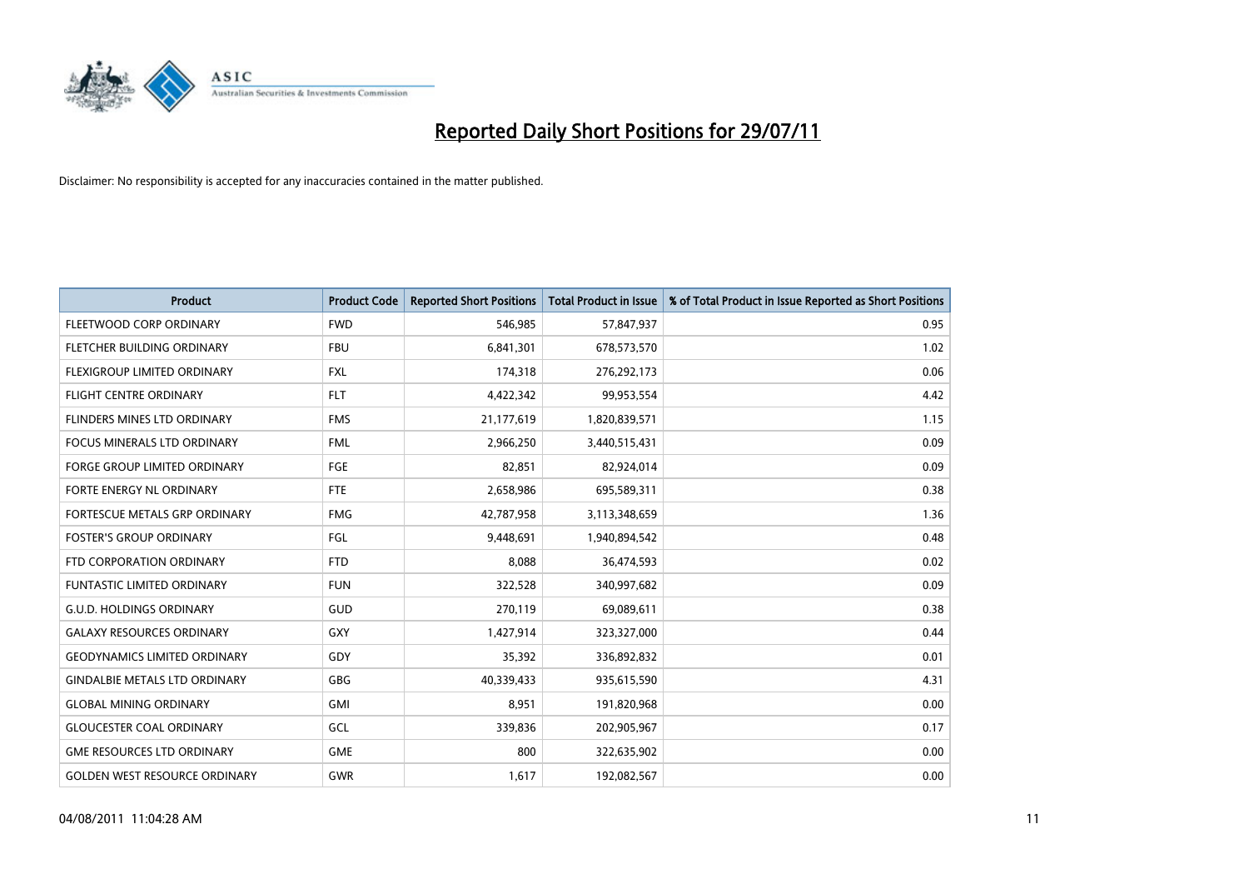

| <b>Product</b>                       | <b>Product Code</b> | <b>Reported Short Positions</b> | <b>Total Product in Issue</b> | % of Total Product in Issue Reported as Short Positions |
|--------------------------------------|---------------------|---------------------------------|-------------------------------|---------------------------------------------------------|
| FLEETWOOD CORP ORDINARY              | <b>FWD</b>          | 546,985                         | 57,847,937                    | 0.95                                                    |
| FLETCHER BUILDING ORDINARY           | <b>FBU</b>          | 6,841,301                       | 678,573,570                   | 1.02                                                    |
| FLEXIGROUP LIMITED ORDINARY          | <b>FXL</b>          | 174,318                         | 276,292,173                   | 0.06                                                    |
| <b>FLIGHT CENTRE ORDINARY</b>        | <b>FLT</b>          | 4,422,342                       | 99,953,554                    | 4.42                                                    |
| FLINDERS MINES LTD ORDINARY          | <b>FMS</b>          | 21,177,619                      | 1,820,839,571                 | 1.15                                                    |
| <b>FOCUS MINERALS LTD ORDINARY</b>   | <b>FML</b>          | 2,966,250                       | 3,440,515,431                 | 0.09                                                    |
| <b>FORGE GROUP LIMITED ORDINARY</b>  | <b>FGE</b>          | 82,851                          | 82,924,014                    | 0.09                                                    |
| FORTE ENERGY NL ORDINARY             | <b>FTE</b>          | 2,658,986                       | 695,589,311                   | 0.38                                                    |
| FORTESCUE METALS GRP ORDINARY        | <b>FMG</b>          | 42,787,958                      | 3,113,348,659                 | 1.36                                                    |
| <b>FOSTER'S GROUP ORDINARY</b>       | <b>FGL</b>          | 9,448,691                       | 1,940,894,542                 | 0.48                                                    |
| FTD CORPORATION ORDINARY             | <b>FTD</b>          | 8,088                           | 36,474,593                    | 0.02                                                    |
| FUNTASTIC LIMITED ORDINARY           | <b>FUN</b>          | 322,528                         | 340,997,682                   | 0.09                                                    |
| <b>G.U.D. HOLDINGS ORDINARY</b>      | GUD                 | 270,119                         | 69,089,611                    | 0.38                                                    |
| <b>GALAXY RESOURCES ORDINARY</b>     | GXY                 | 1,427,914                       | 323,327,000                   | 0.44                                                    |
| <b>GEODYNAMICS LIMITED ORDINARY</b>  | <b>GDY</b>          | 35,392                          | 336,892,832                   | 0.01                                                    |
| <b>GINDALBIE METALS LTD ORDINARY</b> | <b>GBG</b>          | 40,339,433                      | 935,615,590                   | 4.31                                                    |
| <b>GLOBAL MINING ORDINARY</b>        | <b>GMI</b>          | 8,951                           | 191,820,968                   | 0.00                                                    |
| <b>GLOUCESTER COAL ORDINARY</b>      | GCL                 | 339,836                         | 202,905,967                   | 0.17                                                    |
| <b>GME RESOURCES LTD ORDINARY</b>    | <b>GME</b>          | 800                             | 322,635,902                   | 0.00                                                    |
| <b>GOLDEN WEST RESOURCE ORDINARY</b> | <b>GWR</b>          | 1,617                           | 192,082,567                   | 0.00                                                    |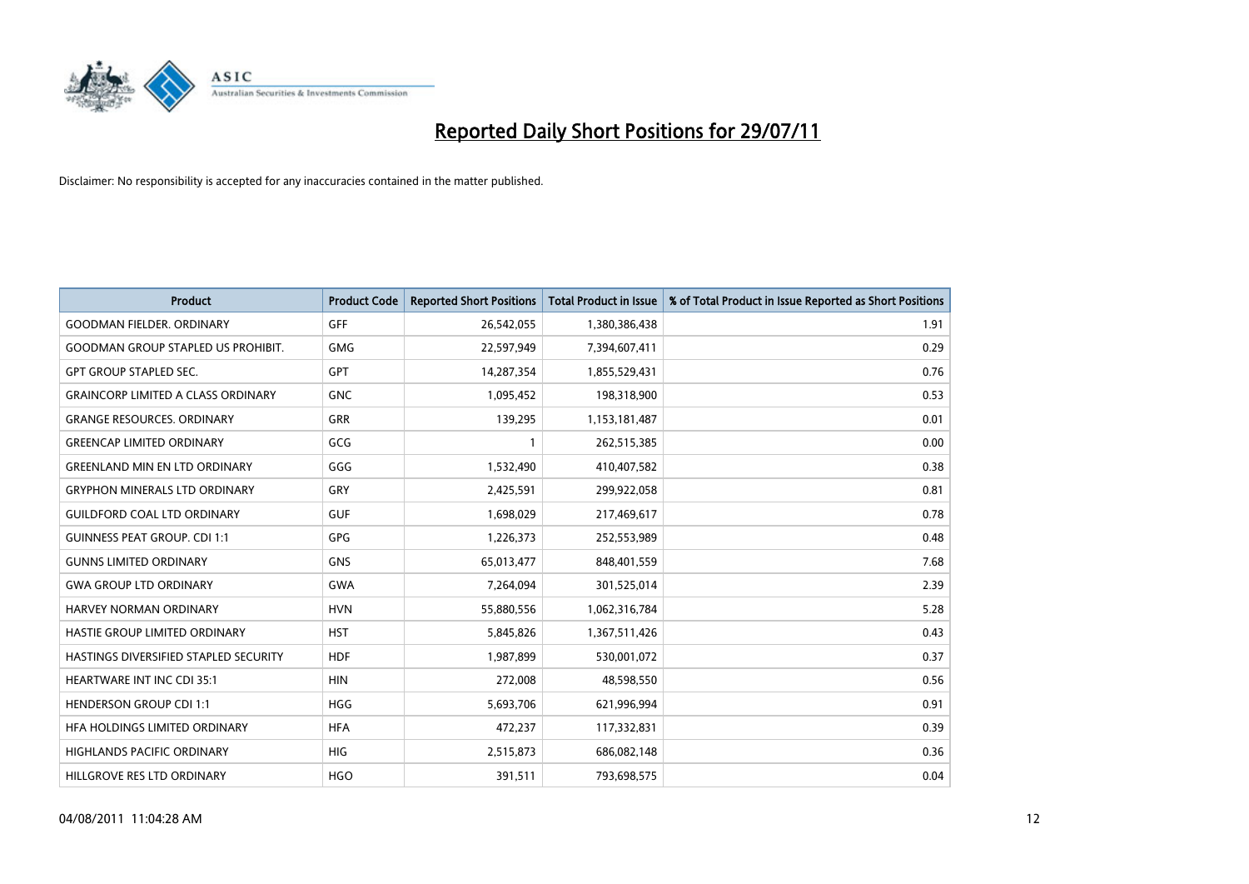

| <b>Product</b>                            | <b>Product Code</b> | <b>Reported Short Positions</b> | <b>Total Product in Issue</b> | % of Total Product in Issue Reported as Short Positions |
|-------------------------------------------|---------------------|---------------------------------|-------------------------------|---------------------------------------------------------|
| <b>GOODMAN FIELDER, ORDINARY</b>          | <b>GFF</b>          | 26,542,055                      | 1,380,386,438                 | 1.91                                                    |
| <b>GOODMAN GROUP STAPLED US PROHIBIT.</b> | <b>GMG</b>          | 22,597,949                      | 7,394,607,411                 | 0.29                                                    |
| <b>GPT GROUP STAPLED SEC.</b>             | GPT                 | 14,287,354                      | 1,855,529,431                 | 0.76                                                    |
| <b>GRAINCORP LIMITED A CLASS ORDINARY</b> | <b>GNC</b>          | 1,095,452                       | 198,318,900                   | 0.53                                                    |
| <b>GRANGE RESOURCES, ORDINARY</b>         | <b>GRR</b>          | 139,295                         | 1,153,181,487                 | 0.01                                                    |
| <b>GREENCAP LIMITED ORDINARY</b>          | GCG                 |                                 | 262,515,385                   | 0.00                                                    |
| <b>GREENLAND MIN EN LTD ORDINARY</b>      | GGG                 | 1,532,490                       | 410,407,582                   | 0.38                                                    |
| <b>GRYPHON MINERALS LTD ORDINARY</b>      | GRY                 | 2,425,591                       | 299,922,058                   | 0.81                                                    |
| <b>GUILDFORD COAL LTD ORDINARY</b>        | <b>GUF</b>          | 1,698,029                       | 217,469,617                   | 0.78                                                    |
| <b>GUINNESS PEAT GROUP. CDI 1:1</b>       | GPG                 | 1,226,373                       | 252,553,989                   | 0.48                                                    |
| <b>GUNNS LIMITED ORDINARY</b>             | <b>GNS</b>          | 65,013,477                      | 848,401,559                   | 7.68                                                    |
| <b>GWA GROUP LTD ORDINARY</b>             | GWA                 | 7,264,094                       | 301,525,014                   | 2.39                                                    |
| HARVEY NORMAN ORDINARY                    | <b>HVN</b>          | 55,880,556                      | 1,062,316,784                 | 5.28                                                    |
| HASTIE GROUP LIMITED ORDINARY             | <b>HST</b>          | 5,845,826                       | 1,367,511,426                 | 0.43                                                    |
| HASTINGS DIVERSIFIED STAPLED SECURITY     | <b>HDF</b>          | 1,987,899                       | 530,001,072                   | 0.37                                                    |
| <b>HEARTWARE INT INC CDI 35:1</b>         | <b>HIN</b>          | 272,008                         | 48,598,550                    | 0.56                                                    |
| <b>HENDERSON GROUP CDI 1:1</b>            | <b>HGG</b>          | 5,693,706                       | 621,996,994                   | 0.91                                                    |
| HFA HOLDINGS LIMITED ORDINARY             | <b>HFA</b>          | 472,237                         | 117,332,831                   | 0.39                                                    |
| <b>HIGHLANDS PACIFIC ORDINARY</b>         | <b>HIG</b>          | 2,515,873                       | 686,082,148                   | 0.36                                                    |
| HILLGROVE RES LTD ORDINARY                | <b>HGO</b>          | 391,511                         | 793,698,575                   | 0.04                                                    |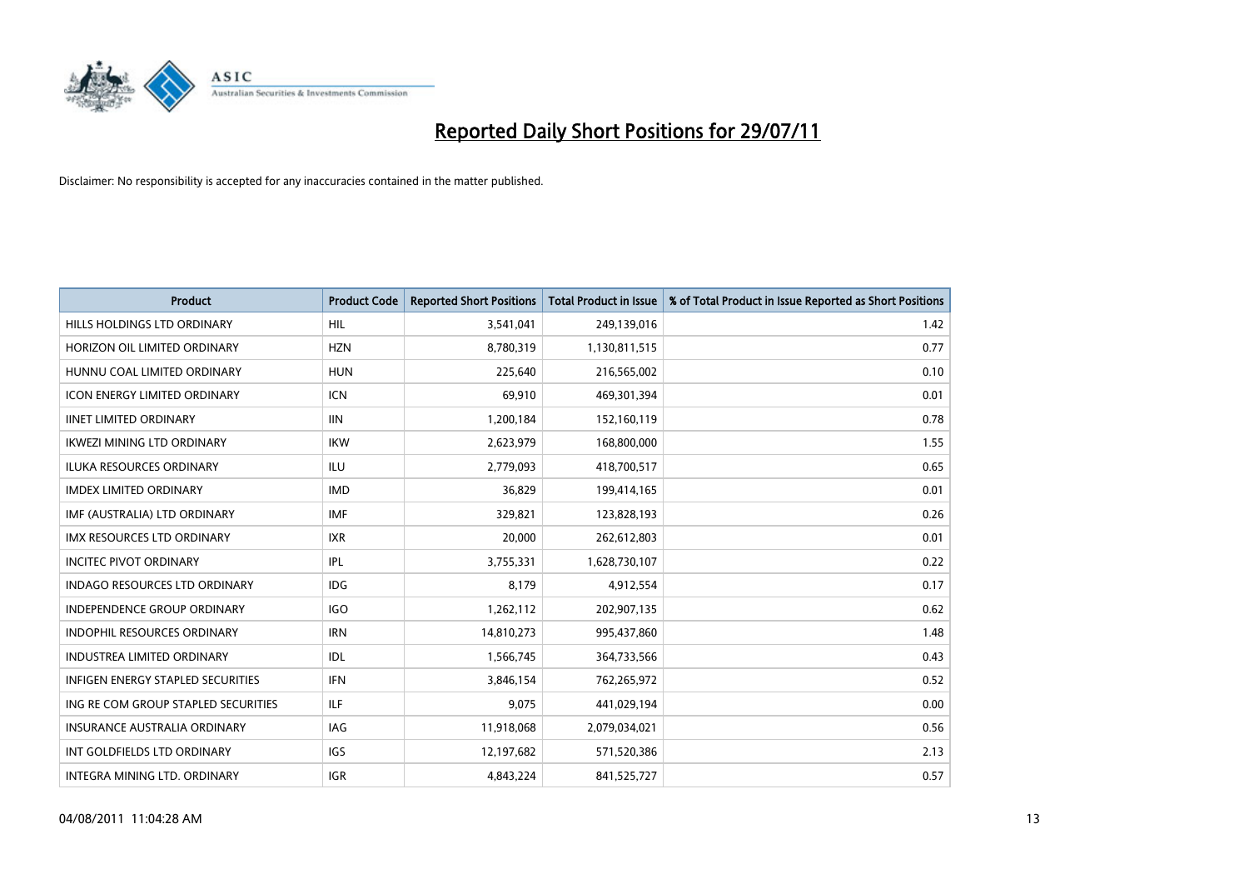

| <b>Product</b>                           | <b>Product Code</b> | <b>Reported Short Positions</b> | <b>Total Product in Issue</b> | % of Total Product in Issue Reported as Short Positions |
|------------------------------------------|---------------------|---------------------------------|-------------------------------|---------------------------------------------------------|
| HILLS HOLDINGS LTD ORDINARY              | <b>HIL</b>          | 3,541,041                       | 249,139,016                   | 1.42                                                    |
| HORIZON OIL LIMITED ORDINARY             | <b>HZN</b>          | 8,780,319                       | 1,130,811,515                 | 0.77                                                    |
| HUNNU COAL LIMITED ORDINARY              | <b>HUN</b>          | 225,640                         | 216,565,002                   | 0.10                                                    |
| <b>ICON ENERGY LIMITED ORDINARY</b>      | <b>ICN</b>          | 69,910                          | 469,301,394                   | 0.01                                                    |
| <b>IINET LIMITED ORDINARY</b>            | <b>IIN</b>          | 1,200,184                       | 152,160,119                   | 0.78                                                    |
| <b>IKWEZI MINING LTD ORDINARY</b>        | <b>IKW</b>          | 2,623,979                       | 168,800,000                   | 1.55                                                    |
| ILUKA RESOURCES ORDINARY                 | <b>ILU</b>          | 2,779,093                       | 418,700,517                   | 0.65                                                    |
| <b>IMDEX LIMITED ORDINARY</b>            | <b>IMD</b>          | 36,829                          | 199,414,165                   | 0.01                                                    |
| IMF (AUSTRALIA) LTD ORDINARY             | <b>IMF</b>          | 329,821                         | 123,828,193                   | 0.26                                                    |
| <b>IMX RESOURCES LTD ORDINARY</b>        | <b>IXR</b>          | 20,000                          | 262,612,803                   | 0.01                                                    |
| <b>INCITEC PIVOT ORDINARY</b>            | IPL                 | 3,755,331                       | 1,628,730,107                 | 0.22                                                    |
| <b>INDAGO RESOURCES LTD ORDINARY</b>     | <b>IDG</b>          | 8,179                           | 4,912,554                     | 0.17                                                    |
| <b>INDEPENDENCE GROUP ORDINARY</b>       | <b>IGO</b>          | 1,262,112                       | 202,907,135                   | 0.62                                                    |
| <b>INDOPHIL RESOURCES ORDINARY</b>       | <b>IRN</b>          | 14,810,273                      | 995,437,860                   | 1.48                                                    |
| <b>INDUSTREA LIMITED ORDINARY</b>        | IDL                 | 1,566,745                       | 364,733,566                   | 0.43                                                    |
| <b>INFIGEN ENERGY STAPLED SECURITIES</b> | <b>IFN</b>          | 3,846,154                       | 762,265,972                   | 0.52                                                    |
| ING RE COM GROUP STAPLED SECURITIES      | ILF                 | 9,075                           | 441,029,194                   | 0.00                                                    |
| INSURANCE AUSTRALIA ORDINARY             | IAG                 | 11,918,068                      | 2,079,034,021                 | 0.56                                                    |
| INT GOLDFIELDS LTD ORDINARY              | <b>IGS</b>          | 12,197,682                      | 571,520,386                   | 2.13                                                    |
| INTEGRA MINING LTD. ORDINARY             | <b>IGR</b>          | 4,843,224                       | 841,525,727                   | 0.57                                                    |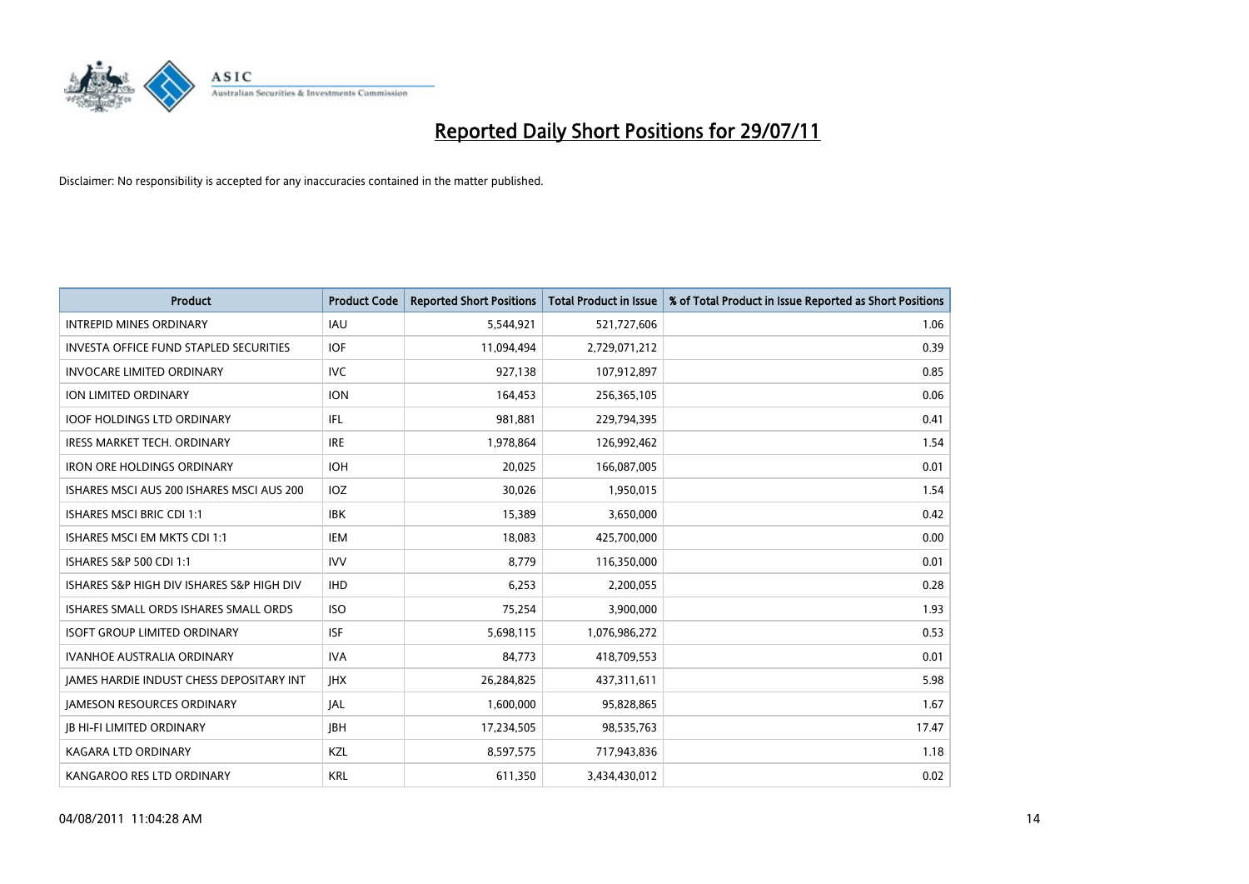

| <b>Product</b>                                  | <b>Product Code</b> | <b>Reported Short Positions</b> | <b>Total Product in Issue</b> | % of Total Product in Issue Reported as Short Positions |
|-------------------------------------------------|---------------------|---------------------------------|-------------------------------|---------------------------------------------------------|
| <b>INTREPID MINES ORDINARY</b>                  | <b>IAU</b>          | 5,544,921                       | 521,727,606                   | 1.06                                                    |
| <b>INVESTA OFFICE FUND STAPLED SECURITIES</b>   | <b>IOF</b>          | 11,094,494                      | 2,729,071,212                 | 0.39                                                    |
| INVOCARE LIMITED ORDINARY                       | <b>IVC</b>          | 927,138                         | 107,912,897                   | 0.85                                                    |
| <b>ION LIMITED ORDINARY</b>                     | <b>ION</b>          | 164,453                         | 256,365,105                   | 0.06                                                    |
| <b>IOOF HOLDINGS LTD ORDINARY</b>               | IFL.                | 981,881                         | 229,794,395                   | 0.41                                                    |
| <b>IRESS MARKET TECH. ORDINARY</b>              | <b>IRE</b>          | 1,978,864                       | 126,992,462                   | 1.54                                                    |
| <b>IRON ORE HOLDINGS ORDINARY</b>               | <b>IOH</b>          | 20,025                          | 166,087,005                   | 0.01                                                    |
| ISHARES MSCI AUS 200 ISHARES MSCI AUS 200       | IOZ                 | 30,026                          | 1,950,015                     | 1.54                                                    |
| ISHARES MSCI BRIC CDI 1:1                       | <b>IBK</b>          | 15,389                          | 3,650,000                     | 0.42                                                    |
| ISHARES MSCI EM MKTS CDI 1:1                    | <b>IEM</b>          | 18,083                          | 425,700,000                   | 0.00                                                    |
| <b>ISHARES S&amp;P 500 CDI 1:1</b>              | <b>IVV</b>          | 8,779                           | 116,350,000                   | 0.01                                                    |
| ISHARES S&P HIGH DIV ISHARES S&P HIGH DIV       | <b>IHD</b>          | 6,253                           | 2,200,055                     | 0.28                                                    |
| ISHARES SMALL ORDS ISHARES SMALL ORDS           | <b>ISO</b>          | 75,254                          | 3,900,000                     | 1.93                                                    |
| <b>ISOFT GROUP LIMITED ORDINARY</b>             | <b>ISF</b>          | 5,698,115                       | 1,076,986,272                 | 0.53                                                    |
| <b>IVANHOE AUSTRALIA ORDINARY</b>               | <b>IVA</b>          | 84,773                          | 418,709,553                   | 0.01                                                    |
| <b>JAMES HARDIE INDUST CHESS DEPOSITARY INT</b> | <b>IHX</b>          | 26,284,825                      | 437,311,611                   | 5.98                                                    |
| <b>JAMESON RESOURCES ORDINARY</b>               | <b>JAL</b>          | 1,600,000                       | 95,828,865                    | 1.67                                                    |
| <b>JB HI-FI LIMITED ORDINARY</b>                | <b>IBH</b>          | 17,234,505                      | 98,535,763                    | 17.47                                                   |
| <b>KAGARA LTD ORDINARY</b>                      | KZL                 | 8,597,575                       | 717,943,836                   | 1.18                                                    |
| KANGAROO RES LTD ORDINARY                       | <b>KRL</b>          | 611,350                         | 3,434,430,012                 | 0.02                                                    |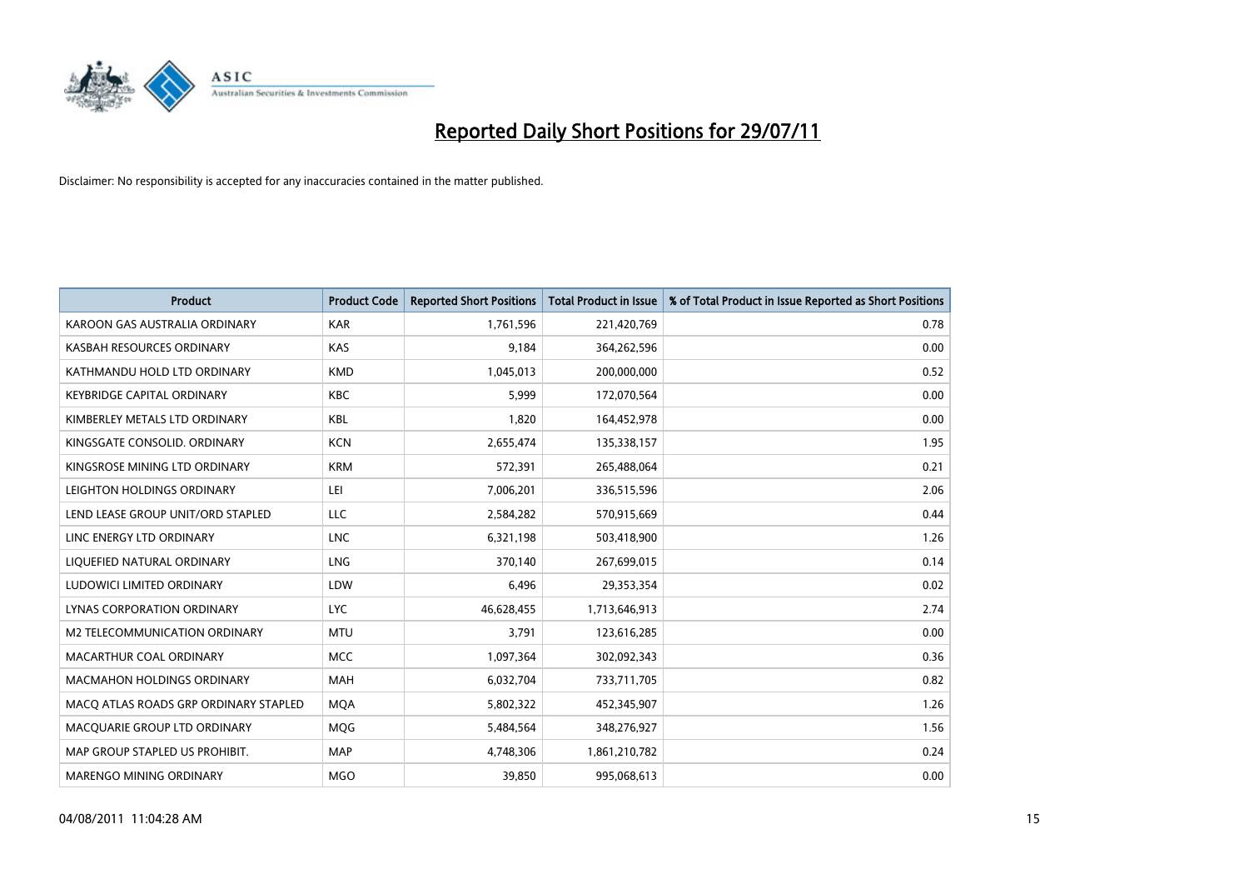

| <b>Product</b>                        | <b>Product Code</b> | <b>Reported Short Positions</b> | Total Product in Issue | % of Total Product in Issue Reported as Short Positions |
|---------------------------------------|---------------------|---------------------------------|------------------------|---------------------------------------------------------|
| KAROON GAS AUSTRALIA ORDINARY         | <b>KAR</b>          | 1,761,596                       | 221,420,769            | 0.78                                                    |
| KASBAH RESOURCES ORDINARY             | KAS                 | 9,184                           | 364,262,596            | 0.00                                                    |
| KATHMANDU HOLD LTD ORDINARY           | <b>KMD</b>          | 1,045,013                       | 200,000,000            | 0.52                                                    |
| <b>KEYBRIDGE CAPITAL ORDINARY</b>     | <b>KBC</b>          | 5,999                           | 172,070,564            | 0.00                                                    |
| KIMBERLEY METALS LTD ORDINARY         | <b>KBL</b>          | 1,820                           | 164,452,978            | 0.00                                                    |
| KINGSGATE CONSOLID, ORDINARY          | <b>KCN</b>          | 2,655,474                       | 135,338,157            | 1.95                                                    |
| KINGSROSE MINING LTD ORDINARY         | <b>KRM</b>          | 572,391                         | 265,488,064            | 0.21                                                    |
| LEIGHTON HOLDINGS ORDINARY            | LEI                 | 7,006,201                       | 336,515,596            | 2.06                                                    |
| LEND LEASE GROUP UNIT/ORD STAPLED     | LLC                 | 2,584,282                       | 570,915,669            | 0.44                                                    |
| LINC ENERGY LTD ORDINARY              | <b>LNC</b>          | 6,321,198                       | 503,418,900            | 1.26                                                    |
| LIQUEFIED NATURAL ORDINARY            | <b>LNG</b>          | 370,140                         | 267,699,015            | 0.14                                                    |
| LUDOWICI LIMITED ORDINARY             | LDW                 | 6,496                           | 29,353,354             | 0.02                                                    |
| LYNAS CORPORATION ORDINARY            | <b>LYC</b>          | 46,628,455                      | 1,713,646,913          | 2.74                                                    |
| M2 TELECOMMUNICATION ORDINARY         | <b>MTU</b>          | 3,791                           | 123,616,285            | 0.00                                                    |
| MACARTHUR COAL ORDINARY               | <b>MCC</b>          | 1,097,364                       | 302,092,343            | 0.36                                                    |
| MACMAHON HOLDINGS ORDINARY            | <b>MAH</b>          | 6,032,704                       | 733,711,705            | 0.82                                                    |
| MACQ ATLAS ROADS GRP ORDINARY STAPLED | <b>MQA</b>          | 5,802,322                       | 452,345,907            | 1.26                                                    |
| MACQUARIE GROUP LTD ORDINARY          | MQG                 | 5,484,564                       | 348,276,927            | 1.56                                                    |
| MAP GROUP STAPLED US PROHIBIT.        | <b>MAP</b>          | 4,748,306                       | 1,861,210,782          | 0.24                                                    |
| <b>MARENGO MINING ORDINARY</b>        | <b>MGO</b>          | 39,850                          | 995,068,613            | 0.00                                                    |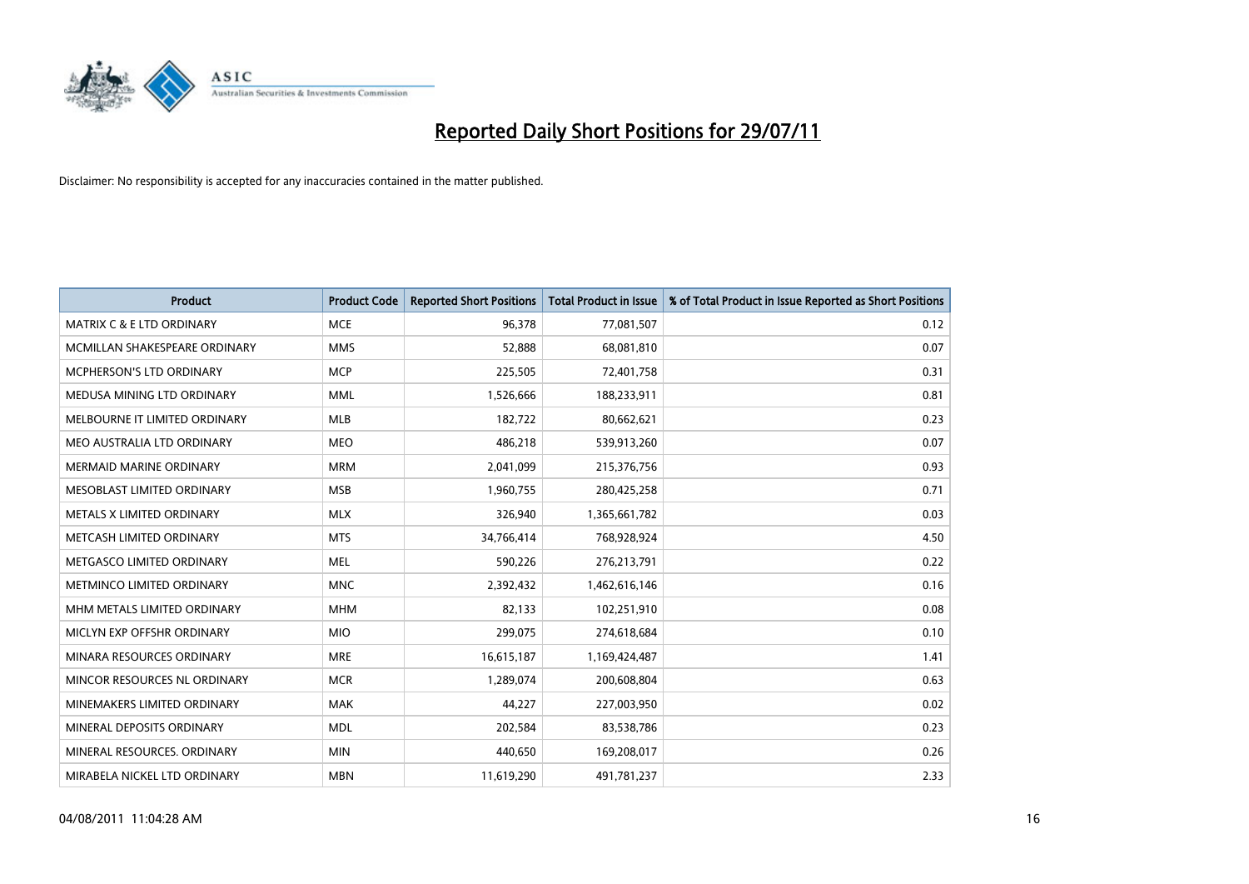

| <b>Product</b>                       | <b>Product Code</b> | <b>Reported Short Positions</b> | <b>Total Product in Issue</b> | % of Total Product in Issue Reported as Short Positions |
|--------------------------------------|---------------------|---------------------------------|-------------------------------|---------------------------------------------------------|
| <b>MATRIX C &amp; E LTD ORDINARY</b> | <b>MCE</b>          | 96,378                          | 77,081,507                    | 0.12                                                    |
| MCMILLAN SHAKESPEARE ORDINARY        | <b>MMS</b>          | 52,888                          | 68,081,810                    | 0.07                                                    |
| <b>MCPHERSON'S LTD ORDINARY</b>      | <b>MCP</b>          | 225,505                         | 72,401,758                    | 0.31                                                    |
| MEDUSA MINING LTD ORDINARY           | <b>MML</b>          | 1,526,666                       | 188,233,911                   | 0.81                                                    |
| MELBOURNE IT LIMITED ORDINARY        | <b>MLB</b>          | 182,722                         | 80,662,621                    | 0.23                                                    |
| MEO AUSTRALIA LTD ORDINARY           | <b>MEO</b>          | 486,218                         | 539,913,260                   | 0.07                                                    |
| <b>MERMAID MARINE ORDINARY</b>       | <b>MRM</b>          | 2,041,099                       | 215,376,756                   | 0.93                                                    |
| MESOBLAST LIMITED ORDINARY           | <b>MSB</b>          | 1,960,755                       | 280,425,258                   | 0.71                                                    |
| METALS X LIMITED ORDINARY            | <b>MLX</b>          | 326,940                         | 1,365,661,782                 | 0.03                                                    |
| METCASH LIMITED ORDINARY             | <b>MTS</b>          | 34,766,414                      | 768,928,924                   | 4.50                                                    |
| METGASCO LIMITED ORDINARY            | <b>MEL</b>          | 590,226                         | 276,213,791                   | 0.22                                                    |
| <b>METMINCO LIMITED ORDINARY</b>     | <b>MNC</b>          | 2,392,432                       | 1,462,616,146                 | 0.16                                                    |
| MHM METALS LIMITED ORDINARY          | <b>MHM</b>          | 82,133                          | 102,251,910                   | 0.08                                                    |
| MICLYN EXP OFFSHR ORDINARY           | <b>MIO</b>          | 299,075                         | 274,618,684                   | 0.10                                                    |
| MINARA RESOURCES ORDINARY            | <b>MRE</b>          | 16,615,187                      | 1,169,424,487                 | 1.41                                                    |
| MINCOR RESOURCES NL ORDINARY         | <b>MCR</b>          | 1,289,074                       | 200,608,804                   | 0.63                                                    |
| MINEMAKERS LIMITED ORDINARY          | <b>MAK</b>          | 44,227                          | 227,003,950                   | 0.02                                                    |
| MINERAL DEPOSITS ORDINARY            | <b>MDL</b>          | 202,584                         | 83,538,786                    | 0.23                                                    |
| MINERAL RESOURCES, ORDINARY          | <b>MIN</b>          | 440,650                         | 169,208,017                   | 0.26                                                    |
| MIRABELA NICKEL LTD ORDINARY         | <b>MBN</b>          | 11,619,290                      | 491,781,237                   | 2.33                                                    |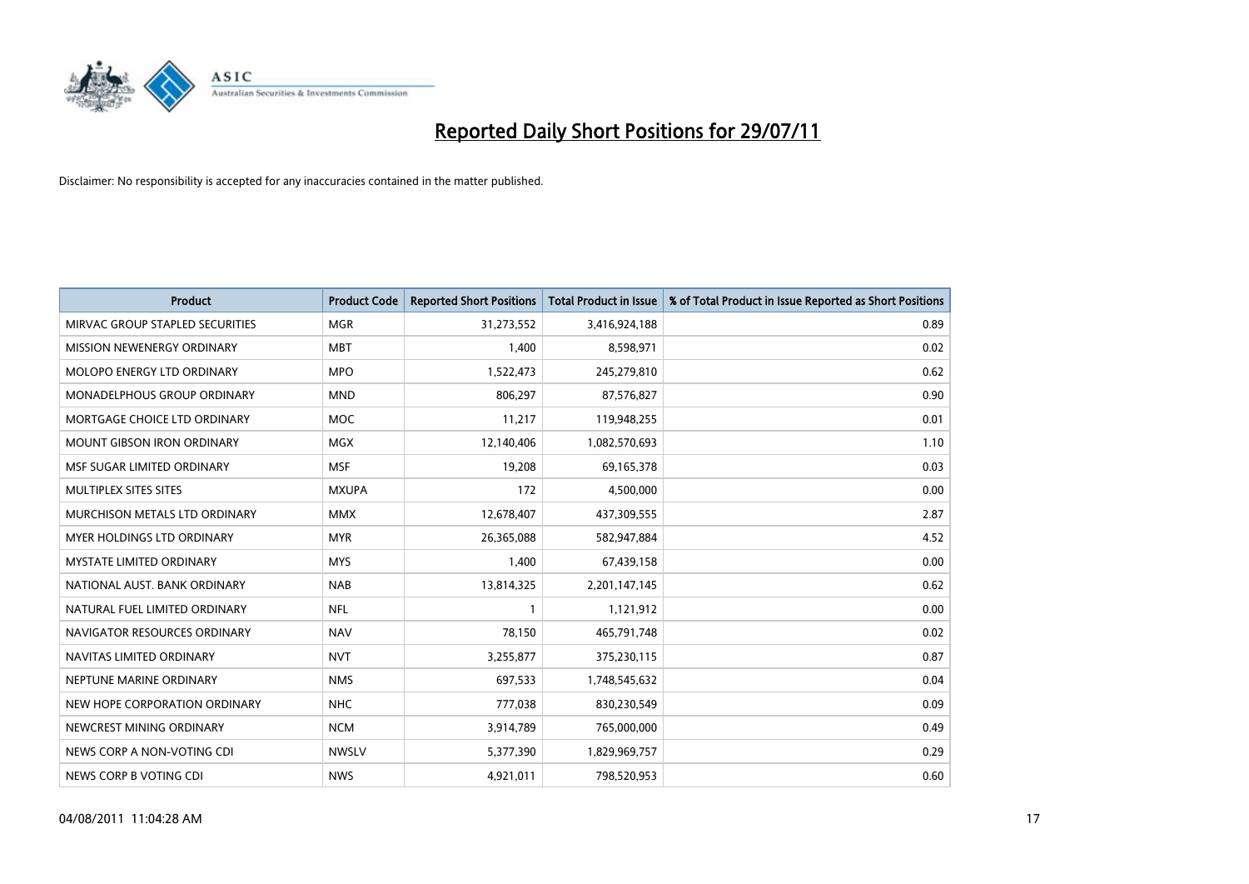

| <b>Product</b>                     | <b>Product Code</b> | <b>Reported Short Positions</b> | Total Product in Issue | % of Total Product in Issue Reported as Short Positions |
|------------------------------------|---------------------|---------------------------------|------------------------|---------------------------------------------------------|
| MIRVAC GROUP STAPLED SECURITIES    | <b>MGR</b>          | 31,273,552                      | 3,416,924,188          | 0.89                                                    |
| MISSION NEWENERGY ORDINARY         | <b>MBT</b>          | 1,400                           | 8,598,971              | 0.02                                                    |
| MOLOPO ENERGY LTD ORDINARY         | <b>MPO</b>          | 1,522,473                       | 245,279,810            | 0.62                                                    |
| <b>MONADELPHOUS GROUP ORDINARY</b> | <b>MND</b>          | 806,297                         | 87,576,827             | 0.90                                                    |
| MORTGAGE CHOICE LTD ORDINARY       | <b>MOC</b>          | 11,217                          | 119,948,255            | 0.01                                                    |
| <b>MOUNT GIBSON IRON ORDINARY</b>  | <b>MGX</b>          | 12,140,406                      | 1,082,570,693          | 1.10                                                    |
| MSF SUGAR LIMITED ORDINARY         | <b>MSF</b>          | 19,208                          | 69,165,378             | 0.03                                                    |
| MULTIPLEX SITES SITES              | <b>MXUPA</b>        | 172                             | 4,500,000              | 0.00                                                    |
| MURCHISON METALS LTD ORDINARY      | <b>MMX</b>          | 12,678,407                      | 437,309,555            | 2.87                                                    |
| MYER HOLDINGS LTD ORDINARY         | <b>MYR</b>          | 26,365,088                      | 582,947,884            | 4.52                                                    |
| MYSTATE LIMITED ORDINARY           | <b>MYS</b>          | 1,400                           | 67,439,158             | 0.00                                                    |
| NATIONAL AUST, BANK ORDINARY       | <b>NAB</b>          | 13,814,325                      | 2,201,147,145          | 0.62                                                    |
| NATURAL FUEL LIMITED ORDINARY      | <b>NFL</b>          |                                 | 1,121,912              | 0.00                                                    |
| NAVIGATOR RESOURCES ORDINARY       | <b>NAV</b>          | 78,150                          | 465,791,748            | 0.02                                                    |
| NAVITAS LIMITED ORDINARY           | <b>NVT</b>          | 3,255,877                       | 375,230,115            | 0.87                                                    |
| NEPTUNE MARINE ORDINARY            | <b>NMS</b>          | 697,533                         | 1,748,545,632          | 0.04                                                    |
| NEW HOPE CORPORATION ORDINARY      | <b>NHC</b>          | 777,038                         | 830,230,549            | 0.09                                                    |
| NEWCREST MINING ORDINARY           | <b>NCM</b>          | 3,914,789                       | 765,000,000            | 0.49                                                    |
| NEWS CORP A NON-VOTING CDI         | <b>NWSLV</b>        | 5,377,390                       | 1,829,969,757          | 0.29                                                    |
| NEWS CORP B VOTING CDI             | <b>NWS</b>          | 4,921,011                       | 798,520,953            | 0.60                                                    |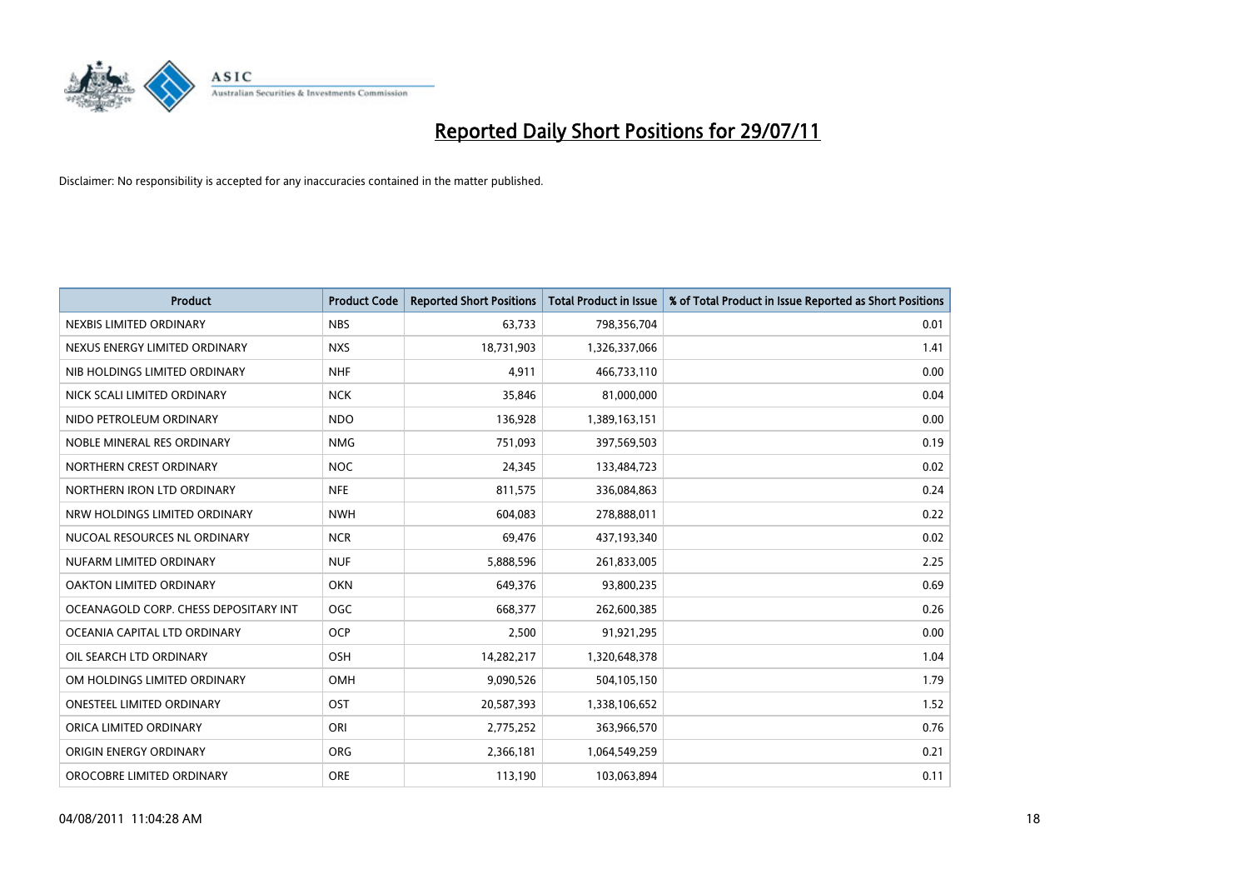

| <b>Product</b>                        | <b>Product Code</b> | <b>Reported Short Positions</b> | <b>Total Product in Issue</b> | % of Total Product in Issue Reported as Short Positions |
|---------------------------------------|---------------------|---------------------------------|-------------------------------|---------------------------------------------------------|
| NEXBIS LIMITED ORDINARY               | <b>NBS</b>          | 63,733                          | 798,356,704                   | 0.01                                                    |
| NEXUS ENERGY LIMITED ORDINARY         | <b>NXS</b>          | 18,731,903                      | 1,326,337,066                 | 1.41                                                    |
| NIB HOLDINGS LIMITED ORDINARY         | <b>NHF</b>          | 4,911                           | 466,733,110                   | 0.00                                                    |
| NICK SCALI LIMITED ORDINARY           | <b>NCK</b>          | 35,846                          | 81,000,000                    | 0.04                                                    |
| NIDO PETROLEUM ORDINARY               | <b>NDO</b>          | 136,928                         | 1,389,163,151                 | 0.00                                                    |
| NOBLE MINERAL RES ORDINARY            | <b>NMG</b>          | 751,093                         | 397,569,503                   | 0.19                                                    |
| NORTHERN CREST ORDINARY               | <b>NOC</b>          | 24,345                          | 133,484,723                   | 0.02                                                    |
| NORTHERN IRON LTD ORDINARY            | <b>NFE</b>          | 811,575                         | 336,084,863                   | 0.24                                                    |
| NRW HOLDINGS LIMITED ORDINARY         | <b>NWH</b>          | 604,083                         | 278,888,011                   | 0.22                                                    |
| NUCOAL RESOURCES NL ORDINARY          | <b>NCR</b>          | 69,476                          | 437,193,340                   | 0.02                                                    |
| NUFARM LIMITED ORDINARY               | <b>NUF</b>          | 5,888,596                       | 261,833,005                   | 2.25                                                    |
| OAKTON LIMITED ORDINARY               | <b>OKN</b>          | 649,376                         | 93,800,235                    | 0.69                                                    |
| OCEANAGOLD CORP. CHESS DEPOSITARY INT | OGC                 | 668,377                         | 262,600,385                   | 0.26                                                    |
| OCEANIA CAPITAL LTD ORDINARY          | <b>OCP</b>          | 2,500                           | 91,921,295                    | 0.00                                                    |
| OIL SEARCH LTD ORDINARY               | <b>OSH</b>          | 14,282,217                      | 1,320,648,378                 | 1.04                                                    |
| OM HOLDINGS LIMITED ORDINARY          | <b>OMH</b>          | 9,090,526                       | 504,105,150                   | 1.79                                                    |
| ONESTEEL LIMITED ORDINARY             | OST                 | 20,587,393                      | 1,338,106,652                 | 1.52                                                    |
| ORICA LIMITED ORDINARY                | ORI                 | 2,775,252                       | 363,966,570                   | 0.76                                                    |
| ORIGIN ENERGY ORDINARY                | ORG                 | 2,366,181                       | 1,064,549,259                 | 0.21                                                    |
| OROCOBRE LIMITED ORDINARY             | <b>ORE</b>          | 113,190                         | 103,063,894                   | 0.11                                                    |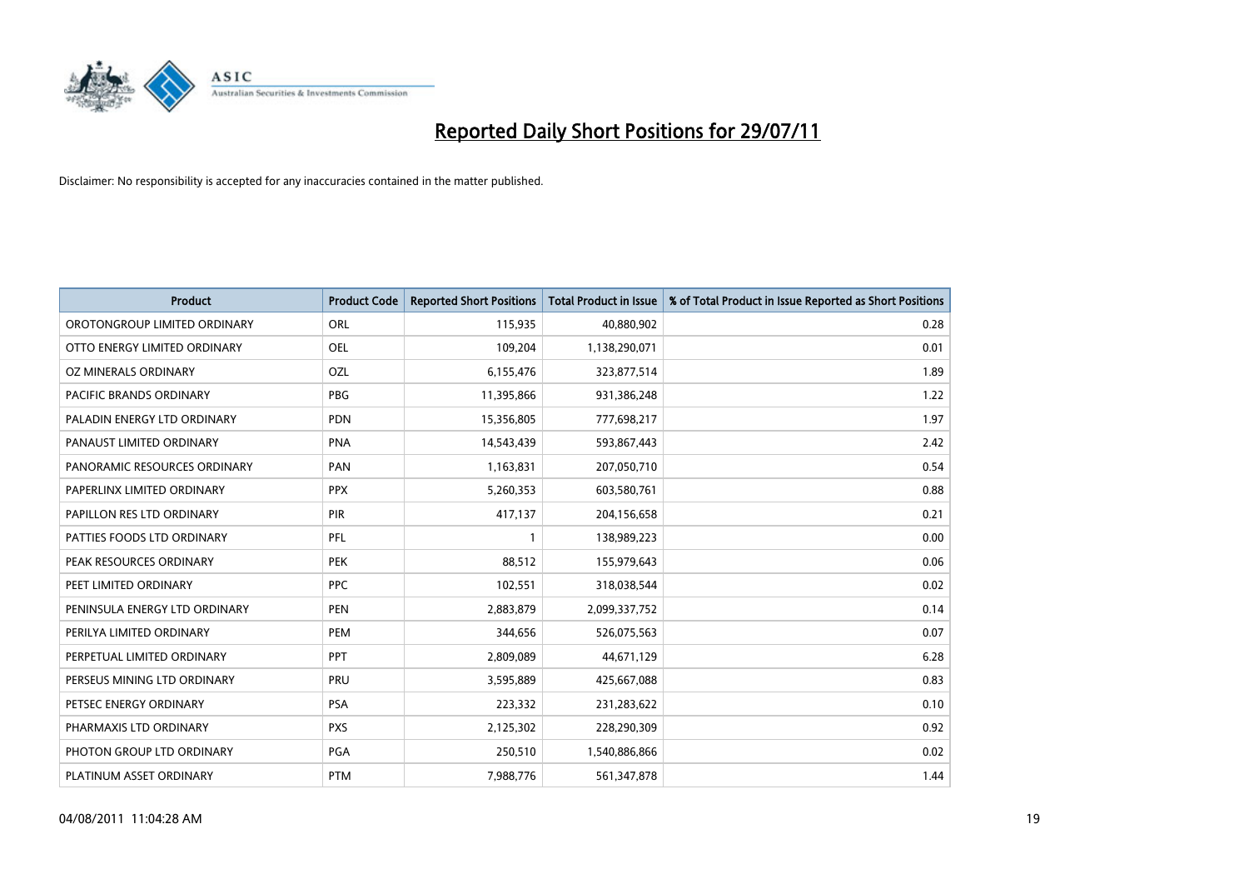

| <b>Product</b>                | <b>Product Code</b> | <b>Reported Short Positions</b> | Total Product in Issue | % of Total Product in Issue Reported as Short Positions |
|-------------------------------|---------------------|---------------------------------|------------------------|---------------------------------------------------------|
| OROTONGROUP LIMITED ORDINARY  | ORL                 | 115,935                         | 40,880,902             | 0.28                                                    |
| OTTO ENERGY LIMITED ORDINARY  | <b>OEL</b>          | 109,204                         | 1,138,290,071          | 0.01                                                    |
| OZ MINERALS ORDINARY          | OZL                 | 6,155,476                       | 323,877,514            | 1.89                                                    |
| PACIFIC BRANDS ORDINARY       | <b>PBG</b>          | 11,395,866                      | 931,386,248            | 1.22                                                    |
| PALADIN ENERGY LTD ORDINARY   | <b>PDN</b>          | 15,356,805                      | 777,698,217            | 1.97                                                    |
| PANAUST LIMITED ORDINARY      | <b>PNA</b>          | 14,543,439                      | 593,867,443            | 2.42                                                    |
| PANORAMIC RESOURCES ORDINARY  | PAN                 | 1,163,831                       | 207,050,710            | 0.54                                                    |
| PAPERLINX LIMITED ORDINARY    | <b>PPX</b>          | 5,260,353                       | 603,580,761            | 0.88                                                    |
| PAPILLON RES LTD ORDINARY     | PIR                 | 417,137                         | 204,156,658            | 0.21                                                    |
| PATTIES FOODS LTD ORDINARY    | PFL                 |                                 | 138,989,223            | 0.00                                                    |
| PEAK RESOURCES ORDINARY       | <b>PEK</b>          | 88,512                          | 155,979,643            | 0.06                                                    |
| PEET LIMITED ORDINARY         | <b>PPC</b>          | 102,551                         | 318,038,544            | 0.02                                                    |
| PENINSULA ENERGY LTD ORDINARY | <b>PEN</b>          | 2,883,879                       | 2,099,337,752          | 0.14                                                    |
| PERILYA LIMITED ORDINARY      | PEM                 | 344,656                         | 526,075,563            | 0.07                                                    |
| PERPETUAL LIMITED ORDINARY    | PPT                 | 2,809,089                       | 44,671,129             | 6.28                                                    |
| PERSEUS MINING LTD ORDINARY   | PRU                 | 3,595,889                       | 425,667,088            | 0.83                                                    |
| PETSEC ENERGY ORDINARY        | <b>PSA</b>          | 223,332                         | 231,283,622            | 0.10                                                    |
| PHARMAXIS LTD ORDINARY        | <b>PXS</b>          | 2,125,302                       | 228,290,309            | 0.92                                                    |
| PHOTON GROUP LTD ORDINARY     | PGA                 | 250,510                         | 1,540,886,866          | 0.02                                                    |
| PLATINUM ASSET ORDINARY       | <b>PTM</b>          | 7,988,776                       | 561,347,878            | 1.44                                                    |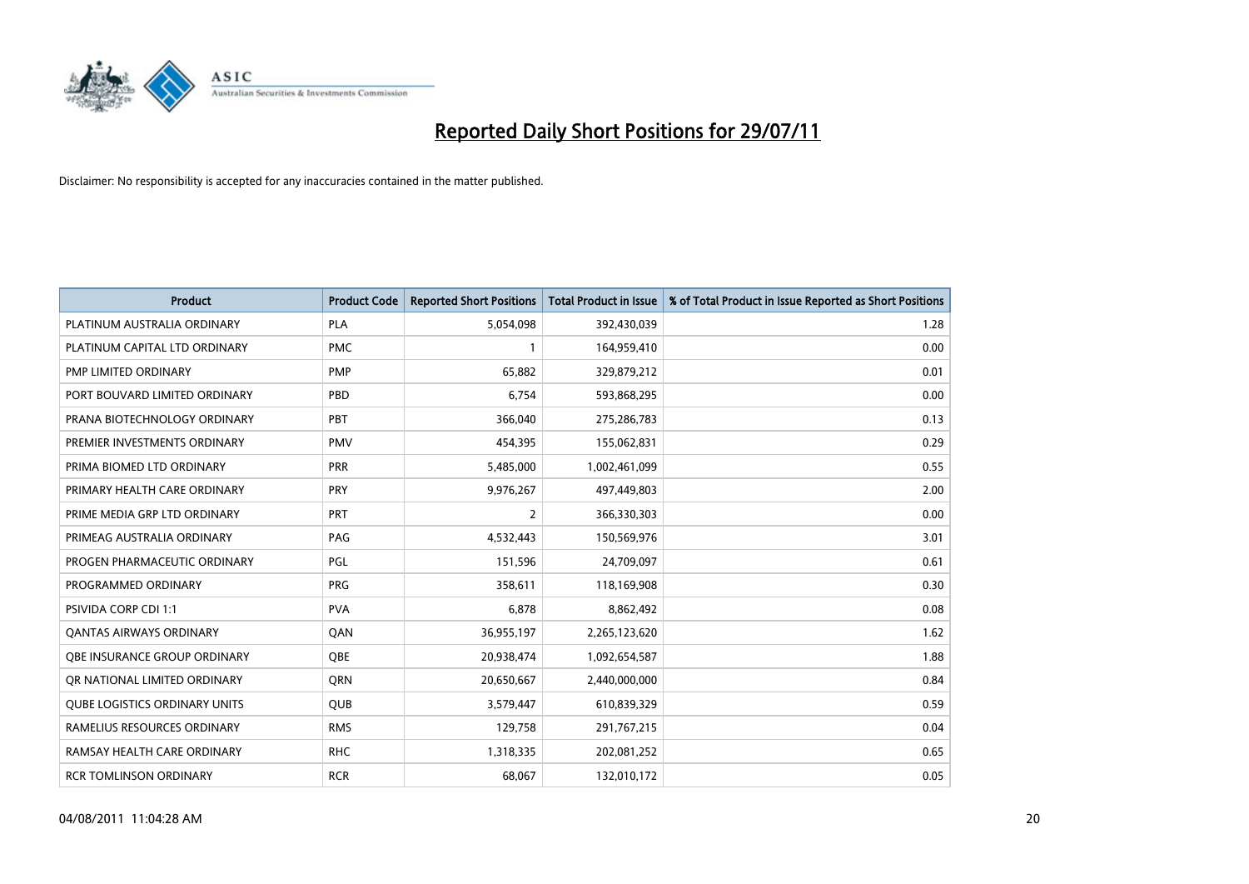

| <b>Product</b>                       | <b>Product Code</b> | <b>Reported Short Positions</b> | <b>Total Product in Issue</b> | % of Total Product in Issue Reported as Short Positions |
|--------------------------------------|---------------------|---------------------------------|-------------------------------|---------------------------------------------------------|
| PLATINUM AUSTRALIA ORDINARY          | <b>PLA</b>          | 5,054,098                       | 392,430,039                   | 1.28                                                    |
| PLATINUM CAPITAL LTD ORDINARY        | <b>PMC</b>          |                                 | 164,959,410                   | 0.00                                                    |
| PMP LIMITED ORDINARY                 | <b>PMP</b>          | 65.882                          | 329,879,212                   | 0.01                                                    |
| PORT BOUVARD LIMITED ORDINARY        | PBD                 | 6,754                           | 593,868,295                   | 0.00                                                    |
| PRANA BIOTECHNOLOGY ORDINARY         | PBT                 | 366,040                         | 275,286,783                   | 0.13                                                    |
| PREMIER INVESTMENTS ORDINARY         | <b>PMV</b>          | 454,395                         | 155,062,831                   | 0.29                                                    |
| PRIMA BIOMED LTD ORDINARY            | <b>PRR</b>          | 5,485,000                       | 1,002,461,099                 | 0.55                                                    |
| PRIMARY HEALTH CARE ORDINARY         | PRY                 | 9,976,267                       | 497,449,803                   | 2.00                                                    |
| PRIME MEDIA GRP LTD ORDINARY         | PRT                 | 2                               | 366,330,303                   | 0.00                                                    |
| PRIMEAG AUSTRALIA ORDINARY           | PAG                 | 4,532,443                       | 150,569,976                   | 3.01                                                    |
| PROGEN PHARMACEUTIC ORDINARY         | PGL                 | 151,596                         | 24,709,097                    | 0.61                                                    |
| PROGRAMMED ORDINARY                  | <b>PRG</b>          | 358,611                         | 118,169,908                   | 0.30                                                    |
| PSIVIDA CORP CDI 1:1                 | <b>PVA</b>          | 6,878                           | 8,862,492                     | 0.08                                                    |
| <b>QANTAS AIRWAYS ORDINARY</b>       | QAN                 | 36,955,197                      | 2,265,123,620                 | 1.62                                                    |
| OBE INSURANCE GROUP ORDINARY         | <b>QBE</b>          | 20,938,474                      | 1,092,654,587                 | 1.88                                                    |
| OR NATIONAL LIMITED ORDINARY         | <b>ORN</b>          | 20,650,667                      | 2,440,000,000                 | 0.84                                                    |
| <b>QUBE LOGISTICS ORDINARY UNITS</b> | <b>QUB</b>          | 3,579,447                       | 610,839,329                   | 0.59                                                    |
| RAMELIUS RESOURCES ORDINARY          | <b>RMS</b>          | 129,758                         | 291,767,215                   | 0.04                                                    |
| RAMSAY HEALTH CARE ORDINARY          | <b>RHC</b>          | 1,318,335                       | 202,081,252                   | 0.65                                                    |
| <b>RCR TOMLINSON ORDINARY</b>        | <b>RCR</b>          | 68,067                          | 132,010,172                   | 0.05                                                    |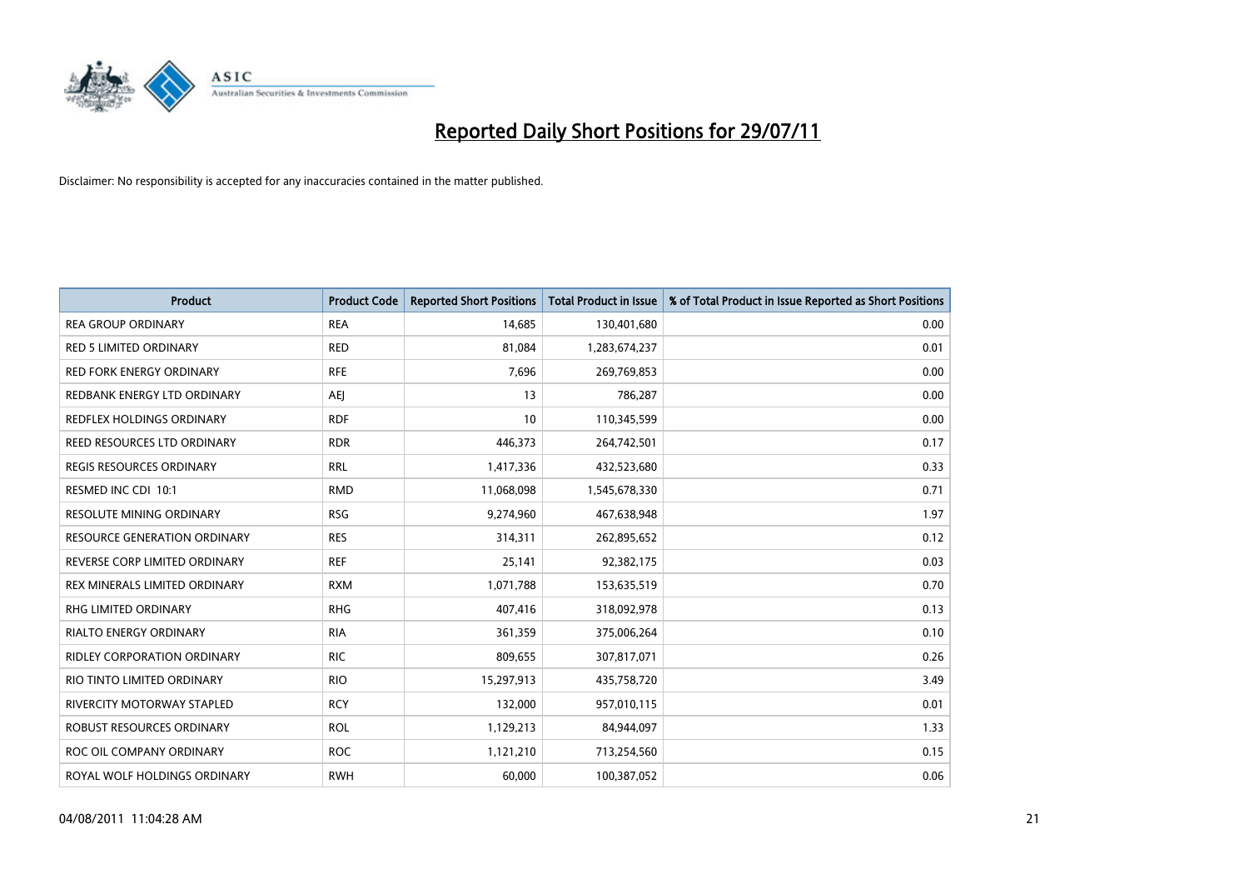

| <b>Product</b>                      | <b>Product Code</b> | <b>Reported Short Positions</b> | Total Product in Issue | % of Total Product in Issue Reported as Short Positions |
|-------------------------------------|---------------------|---------------------------------|------------------------|---------------------------------------------------------|
| <b>REA GROUP ORDINARY</b>           | <b>REA</b>          | 14,685                          | 130,401,680            | 0.00                                                    |
| <b>RED 5 LIMITED ORDINARY</b>       | <b>RED</b>          | 81,084                          | 1,283,674,237          | 0.01                                                    |
| <b>RED FORK ENERGY ORDINARY</b>     | <b>RFE</b>          | 7,696                           | 269,769,853            | 0.00                                                    |
| REDBANK ENERGY LTD ORDINARY         | <b>AEI</b>          | 13                              | 786,287                | 0.00                                                    |
| <b>REDFLEX HOLDINGS ORDINARY</b>    | <b>RDF</b>          | 10                              | 110,345,599            | 0.00                                                    |
| REED RESOURCES LTD ORDINARY         | <b>RDR</b>          | 446,373                         | 264,742,501            | 0.17                                                    |
| <b>REGIS RESOURCES ORDINARY</b>     | <b>RRL</b>          | 1,417,336                       | 432,523,680            | 0.33                                                    |
| RESMED INC CDI 10:1                 | <b>RMD</b>          | 11,068,098                      | 1,545,678,330          | 0.71                                                    |
| RESOLUTE MINING ORDINARY            | <b>RSG</b>          | 9,274,960                       | 467,638,948            | 1.97                                                    |
| <b>RESOURCE GENERATION ORDINARY</b> | <b>RES</b>          | 314,311                         | 262,895,652            | 0.12                                                    |
| REVERSE CORP LIMITED ORDINARY       | <b>REF</b>          | 25,141                          | 92,382,175             | 0.03                                                    |
| REX MINERALS LIMITED ORDINARY       | <b>RXM</b>          | 1,071,788                       | 153,635,519            | 0.70                                                    |
| RHG LIMITED ORDINARY                | <b>RHG</b>          | 407,416                         | 318,092,978            | 0.13                                                    |
| <b>RIALTO ENERGY ORDINARY</b>       | <b>RIA</b>          | 361,359                         | 375,006,264            | 0.10                                                    |
| <b>RIDLEY CORPORATION ORDINARY</b>  | <b>RIC</b>          | 809,655                         | 307,817,071            | 0.26                                                    |
| RIO TINTO LIMITED ORDINARY          | <b>RIO</b>          | 15,297,913                      | 435,758,720            | 3.49                                                    |
| <b>RIVERCITY MOTORWAY STAPLED</b>   | <b>RCY</b>          | 132,000                         | 957,010,115            | 0.01                                                    |
| ROBUST RESOURCES ORDINARY           | <b>ROL</b>          | 1,129,213                       | 84,944,097             | 1.33                                                    |
| ROC OIL COMPANY ORDINARY            | <b>ROC</b>          | 1,121,210                       | 713,254,560            | 0.15                                                    |
| ROYAL WOLF HOLDINGS ORDINARY        | <b>RWH</b>          | 60,000                          | 100,387,052            | 0.06                                                    |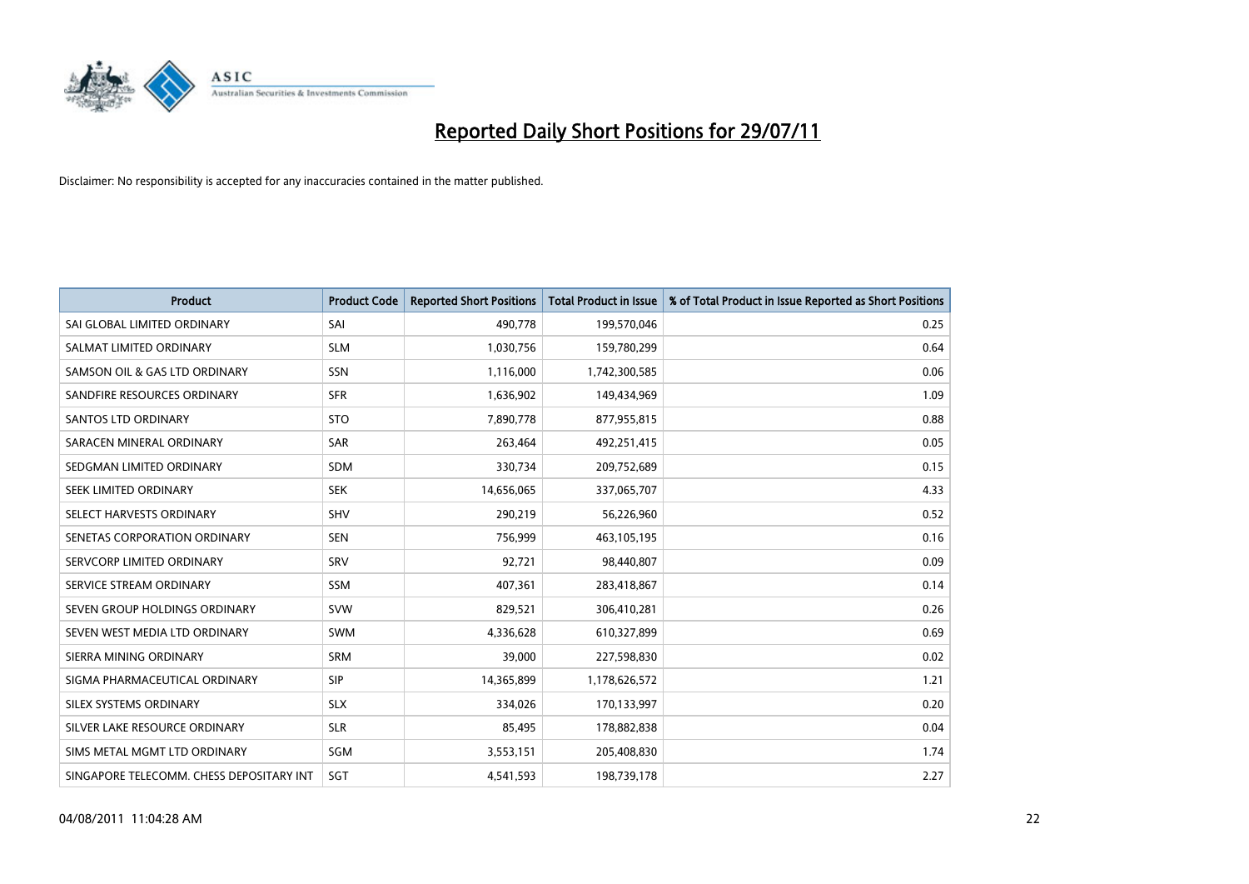

| <b>Product</b>                           | <b>Product Code</b> | <b>Reported Short Positions</b> | <b>Total Product in Issue</b> | % of Total Product in Issue Reported as Short Positions |
|------------------------------------------|---------------------|---------------------------------|-------------------------------|---------------------------------------------------------|
| SAI GLOBAL LIMITED ORDINARY              | SAI                 | 490,778                         | 199,570,046                   | 0.25                                                    |
| SALMAT LIMITED ORDINARY                  | <b>SLM</b>          | 1,030,756                       | 159,780,299                   | 0.64                                                    |
| SAMSON OIL & GAS LTD ORDINARY            | <b>SSN</b>          | 1,116,000                       | 1,742,300,585                 | 0.06                                                    |
| SANDFIRE RESOURCES ORDINARY              | <b>SFR</b>          | 1,636,902                       | 149,434,969                   | 1.09                                                    |
| <b>SANTOS LTD ORDINARY</b>               | <b>STO</b>          | 7,890,778                       | 877,955,815                   | 0.88                                                    |
| SARACEN MINERAL ORDINARY                 | <b>SAR</b>          | 263,464                         | 492,251,415                   | 0.05                                                    |
| SEDGMAN LIMITED ORDINARY                 | <b>SDM</b>          | 330,734                         | 209,752,689                   | 0.15                                                    |
| SEEK LIMITED ORDINARY                    | <b>SEK</b>          | 14,656,065                      | 337,065,707                   | 4.33                                                    |
| SELECT HARVESTS ORDINARY                 | <b>SHV</b>          | 290,219                         | 56,226,960                    | 0.52                                                    |
| SENETAS CORPORATION ORDINARY             | <b>SEN</b>          | 756,999                         | 463,105,195                   | 0.16                                                    |
| SERVCORP LIMITED ORDINARY                | SRV                 | 92,721                          | 98,440,807                    | 0.09                                                    |
| SERVICE STREAM ORDINARY                  | <b>SSM</b>          | 407,361                         | 283,418,867                   | 0.14                                                    |
| SEVEN GROUP HOLDINGS ORDINARY            | <b>SVW</b>          | 829,521                         | 306,410,281                   | 0.26                                                    |
| SEVEN WEST MEDIA LTD ORDINARY            | SWM                 | 4,336,628                       | 610,327,899                   | 0.69                                                    |
| SIERRA MINING ORDINARY                   | <b>SRM</b>          | 39,000                          | 227,598,830                   | 0.02                                                    |
| SIGMA PHARMACEUTICAL ORDINARY            | SIP                 | 14,365,899                      | 1,178,626,572                 | 1.21                                                    |
| SILEX SYSTEMS ORDINARY                   | <b>SLX</b>          | 334,026                         | 170,133,997                   | 0.20                                                    |
| SILVER LAKE RESOURCE ORDINARY            | <b>SLR</b>          | 85,495                          | 178,882,838                   | 0.04                                                    |
| SIMS METAL MGMT LTD ORDINARY             | SGM                 | 3,553,151                       | 205,408,830                   | 1.74                                                    |
| SINGAPORE TELECOMM. CHESS DEPOSITARY INT | SGT                 | 4,541,593                       | 198,739,178                   | 2.27                                                    |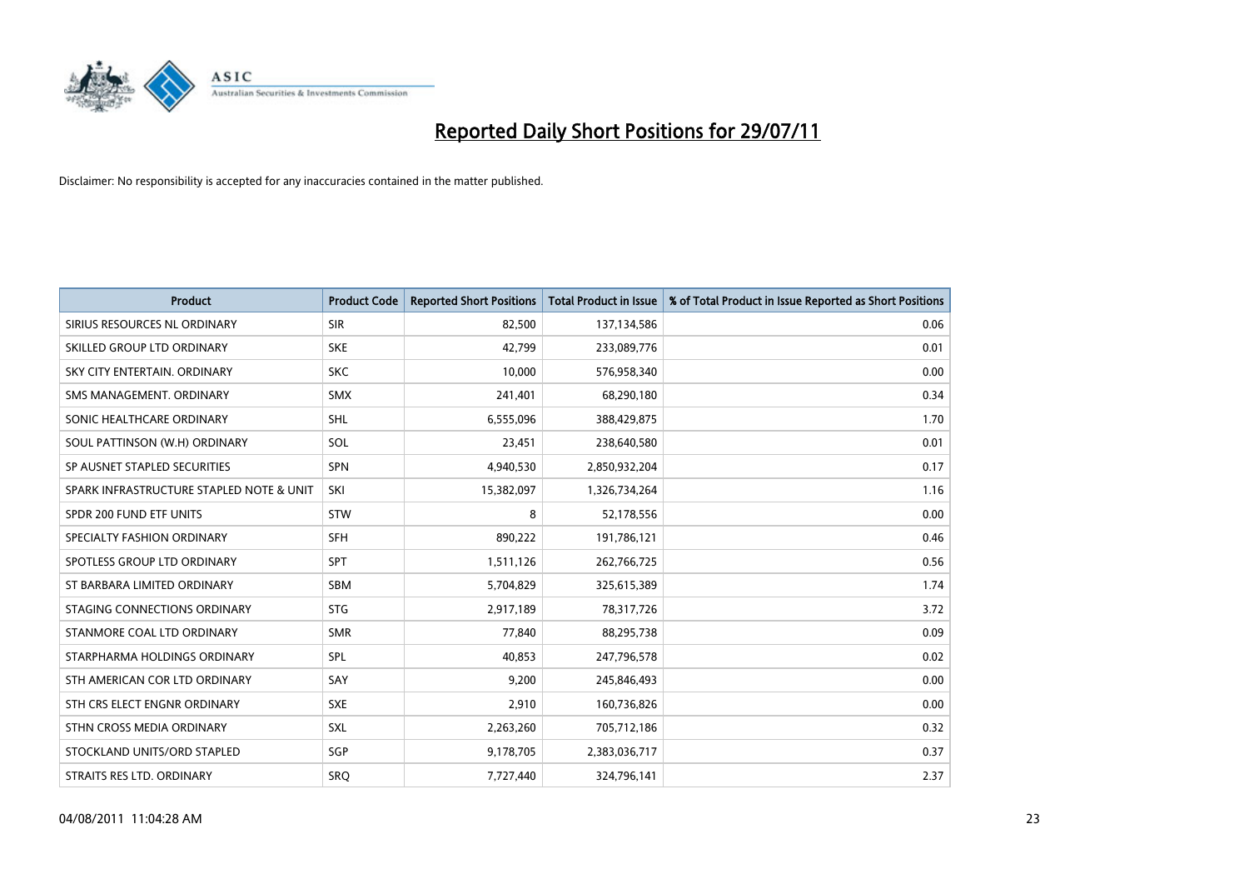

| <b>Product</b>                           | <b>Product Code</b> | <b>Reported Short Positions</b> | <b>Total Product in Issue</b> | % of Total Product in Issue Reported as Short Positions |
|------------------------------------------|---------------------|---------------------------------|-------------------------------|---------------------------------------------------------|
| SIRIUS RESOURCES NL ORDINARY             | <b>SIR</b>          | 82,500                          | 137,134,586                   | 0.06                                                    |
| SKILLED GROUP LTD ORDINARY               | <b>SKE</b>          | 42,799                          | 233,089,776                   | 0.01                                                    |
| SKY CITY ENTERTAIN, ORDINARY             | <b>SKC</b>          | 10.000                          | 576,958,340                   | 0.00                                                    |
| SMS MANAGEMENT. ORDINARY                 | <b>SMX</b>          | 241,401                         | 68,290,180                    | 0.34                                                    |
| SONIC HEALTHCARE ORDINARY                | <b>SHL</b>          | 6,555,096                       | 388,429,875                   | 1.70                                                    |
| SOUL PATTINSON (W.H) ORDINARY            | SOL                 | 23,451                          | 238,640,580                   | 0.01                                                    |
| SP AUSNET STAPLED SECURITIES             | <b>SPN</b>          | 4,940,530                       | 2,850,932,204                 | 0.17                                                    |
| SPARK INFRASTRUCTURE STAPLED NOTE & UNIT | SKI                 | 15,382,097                      | 1,326,734,264                 | 1.16                                                    |
| SPDR 200 FUND ETF UNITS                  | <b>STW</b>          | 8                               | 52,178,556                    | 0.00                                                    |
| SPECIALTY FASHION ORDINARY               | <b>SFH</b>          | 890,222                         | 191,786,121                   | 0.46                                                    |
| SPOTLESS GROUP LTD ORDINARY              | <b>SPT</b>          | 1,511,126                       | 262,766,725                   | 0.56                                                    |
| ST BARBARA LIMITED ORDINARY              | <b>SBM</b>          | 5,704,829                       | 325,615,389                   | 1.74                                                    |
| STAGING CONNECTIONS ORDINARY             | <b>STG</b>          | 2,917,189                       | 78,317,726                    | 3.72                                                    |
| STANMORE COAL LTD ORDINARY               | <b>SMR</b>          | 77,840                          | 88,295,738                    | 0.09                                                    |
| STARPHARMA HOLDINGS ORDINARY             | SPL                 | 40,853                          | 247,796,578                   | 0.02                                                    |
| STH AMERICAN COR LTD ORDINARY            | SAY                 | 9,200                           | 245,846,493                   | 0.00                                                    |
| STH CRS ELECT ENGNR ORDINARY             | <b>SXE</b>          | 2,910                           | 160,736,826                   | 0.00                                                    |
| STHN CROSS MEDIA ORDINARY                | SXL                 | 2,263,260                       | 705,712,186                   | 0.32                                                    |
| STOCKLAND UNITS/ORD STAPLED              | SGP                 | 9,178,705                       | 2,383,036,717                 | 0.37                                                    |
| STRAITS RES LTD. ORDINARY                | <b>SRO</b>          | 7,727,440                       | 324,796,141                   | 2.37                                                    |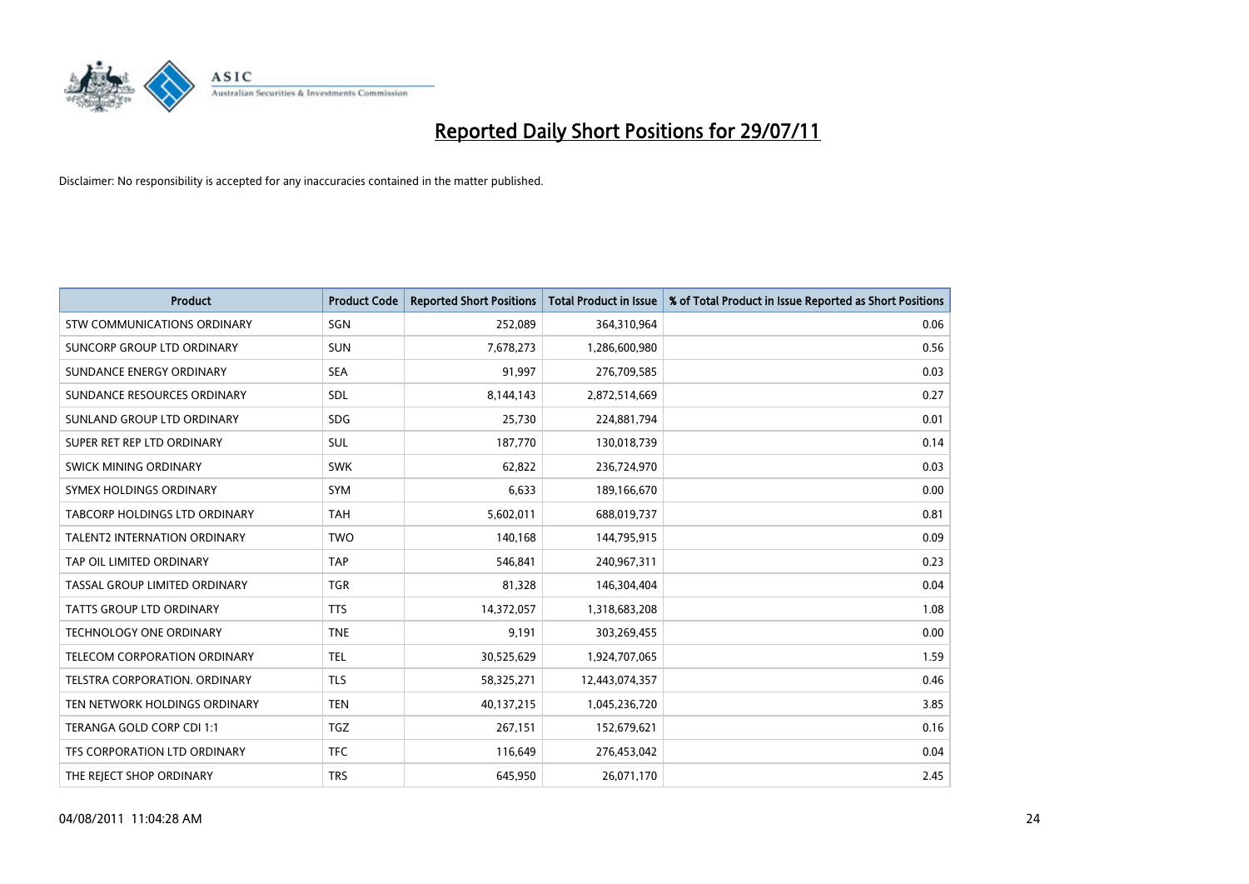

| <b>Product</b>                      | <b>Product Code</b> | <b>Reported Short Positions</b> | <b>Total Product in Issue</b> | % of Total Product in Issue Reported as Short Positions |
|-------------------------------------|---------------------|---------------------------------|-------------------------------|---------------------------------------------------------|
| <b>STW COMMUNICATIONS ORDINARY</b>  | SGN                 | 252,089                         | 364,310,964                   | 0.06                                                    |
| SUNCORP GROUP LTD ORDINARY          | <b>SUN</b>          | 7,678,273                       | 1,286,600,980                 | 0.56                                                    |
| SUNDANCE ENERGY ORDINARY            | <b>SEA</b>          | 91.997                          | 276,709,585                   | 0.03                                                    |
| SUNDANCE RESOURCES ORDINARY         | <b>SDL</b>          | 8,144,143                       | 2,872,514,669                 | 0.27                                                    |
| SUNLAND GROUP LTD ORDINARY          | <b>SDG</b>          | 25,730                          | 224,881,794                   | 0.01                                                    |
| SUPER RET REP LTD ORDINARY          | <b>SUL</b>          | 187,770                         | 130,018,739                   | 0.14                                                    |
| SWICK MINING ORDINARY               | <b>SWK</b>          | 62,822                          | 236,724,970                   | 0.03                                                    |
| SYMEX HOLDINGS ORDINARY             | <b>SYM</b>          | 6,633                           | 189,166,670                   | 0.00                                                    |
| TABCORP HOLDINGS LTD ORDINARY       | <b>TAH</b>          | 5,602,011                       | 688,019,737                   | 0.81                                                    |
| <b>TALENT2 INTERNATION ORDINARY</b> | <b>TWO</b>          | 140,168                         | 144,795,915                   | 0.09                                                    |
| TAP OIL LIMITED ORDINARY            | <b>TAP</b>          | 546,841                         | 240,967,311                   | 0.23                                                    |
| TASSAL GROUP LIMITED ORDINARY       | <b>TGR</b>          | 81,328                          | 146,304,404                   | 0.04                                                    |
| TATTS GROUP LTD ORDINARY            | <b>TTS</b>          | 14,372,057                      | 1,318,683,208                 | 1.08                                                    |
| <b>TECHNOLOGY ONE ORDINARY</b>      | <b>TNE</b>          | 9,191                           | 303,269,455                   | 0.00                                                    |
| TELECOM CORPORATION ORDINARY        | <b>TEL</b>          | 30,525,629                      | 1,924,707,065                 | 1.59                                                    |
| TELSTRA CORPORATION. ORDINARY       | <b>TLS</b>          | 58,325,271                      | 12,443,074,357                | 0.46                                                    |
| TEN NETWORK HOLDINGS ORDINARY       | <b>TEN</b>          | 40,137,215                      | 1,045,236,720                 | 3.85                                                    |
| TERANGA GOLD CORP CDI 1:1           | <b>TGZ</b>          | 267,151                         | 152,679,621                   | 0.16                                                    |
| TFS CORPORATION LTD ORDINARY        | <b>TFC</b>          | 116,649                         | 276,453,042                   | 0.04                                                    |
| THE REJECT SHOP ORDINARY            | <b>TRS</b>          | 645,950                         | 26,071,170                    | 2.45                                                    |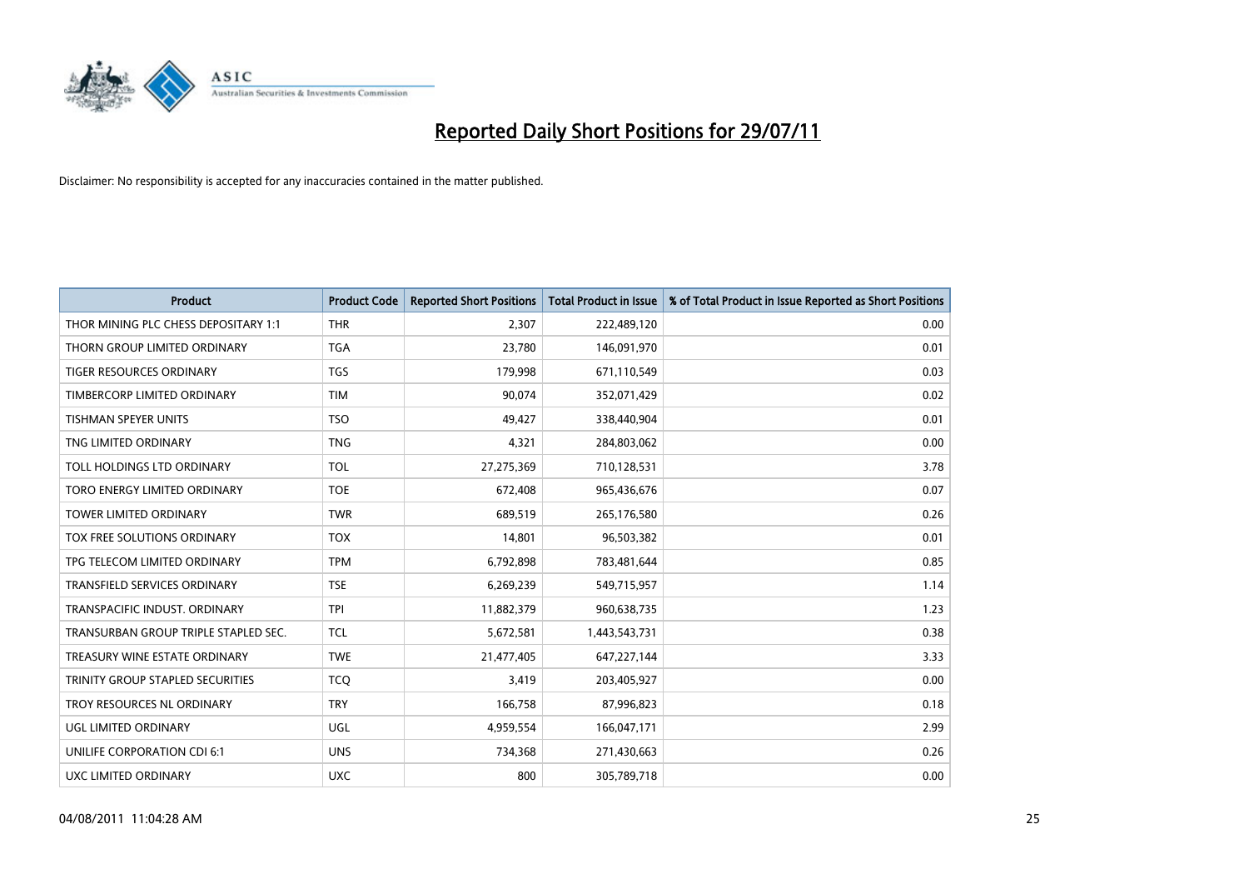

| <b>Product</b>                       | <b>Product Code</b> | <b>Reported Short Positions</b> | <b>Total Product in Issue</b> | % of Total Product in Issue Reported as Short Positions |
|--------------------------------------|---------------------|---------------------------------|-------------------------------|---------------------------------------------------------|
| THOR MINING PLC CHESS DEPOSITARY 1:1 | <b>THR</b>          | 2,307                           | 222,489,120                   | 0.00                                                    |
| THORN GROUP LIMITED ORDINARY         | <b>TGA</b>          | 23,780                          | 146,091,970                   | 0.01                                                    |
| TIGER RESOURCES ORDINARY             | <b>TGS</b>          | 179,998                         | 671,110,549                   | 0.03                                                    |
| TIMBERCORP LIMITED ORDINARY          | <b>TIM</b>          | 90,074                          | 352,071,429                   | 0.02                                                    |
| <b>TISHMAN SPEYER UNITS</b>          | <b>TSO</b>          | 49,427                          | 338,440,904                   | 0.01                                                    |
| TNG LIMITED ORDINARY                 | <b>TNG</b>          | 4,321                           | 284,803,062                   | 0.00                                                    |
| TOLL HOLDINGS LTD ORDINARY           | <b>TOL</b>          | 27,275,369                      | 710,128,531                   | 3.78                                                    |
| TORO ENERGY LIMITED ORDINARY         | <b>TOE</b>          | 672,408                         | 965,436,676                   | 0.07                                                    |
| <b>TOWER LIMITED ORDINARY</b>        | <b>TWR</b>          | 689,519                         | 265,176,580                   | 0.26                                                    |
| TOX FREE SOLUTIONS ORDINARY          | <b>TOX</b>          | 14,801                          | 96,503,382                    | 0.01                                                    |
| TPG TELECOM LIMITED ORDINARY         | <b>TPM</b>          | 6,792,898                       | 783,481,644                   | 0.85                                                    |
| <b>TRANSFIELD SERVICES ORDINARY</b>  | <b>TSE</b>          | 6,269,239                       | 549,715,957                   | 1.14                                                    |
| TRANSPACIFIC INDUST, ORDINARY        | <b>TPI</b>          | 11,882,379                      | 960,638,735                   | 1.23                                                    |
| TRANSURBAN GROUP TRIPLE STAPLED SEC. | <b>TCL</b>          | 5,672,581                       | 1,443,543,731                 | 0.38                                                    |
| TREASURY WINE ESTATE ORDINARY        | <b>TWE</b>          | 21,477,405                      | 647,227,144                   | 3.33                                                    |
| TRINITY GROUP STAPLED SECURITIES     | <b>TCO</b>          | 3,419                           | 203,405,927                   | 0.00                                                    |
| TROY RESOURCES NL ORDINARY           | <b>TRY</b>          | 166,758                         | 87,996,823                    | 0.18                                                    |
| UGL LIMITED ORDINARY                 | UGL                 | 4,959,554                       | 166,047,171                   | 2.99                                                    |
| UNILIFE CORPORATION CDI 6:1          | <b>UNS</b>          | 734,368                         | 271,430,663                   | 0.26                                                    |
| UXC LIMITED ORDINARY                 | <b>UXC</b>          | 800                             | 305,789,718                   | 0.00                                                    |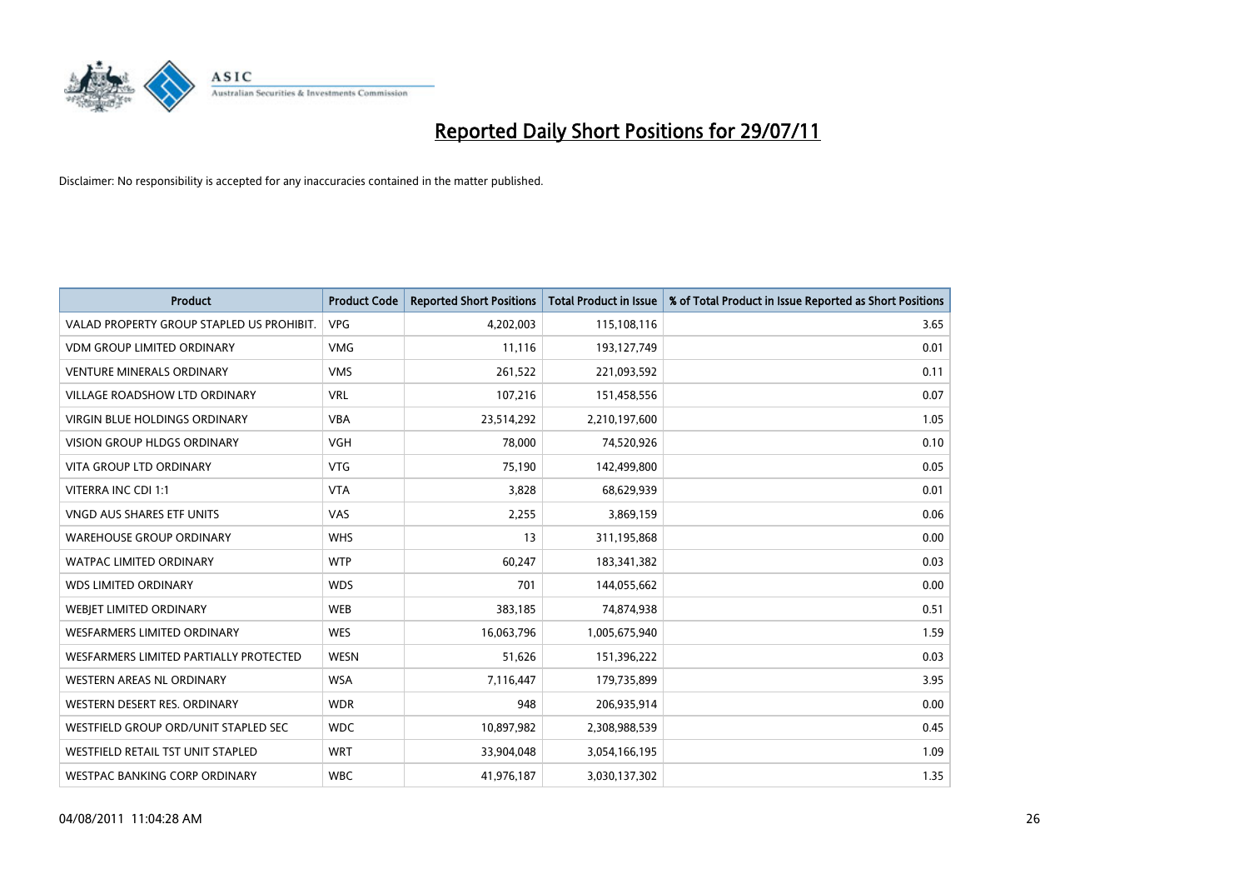

| <b>Product</b>                            | <b>Product Code</b> | <b>Reported Short Positions</b> | <b>Total Product in Issue</b> | % of Total Product in Issue Reported as Short Positions |
|-------------------------------------------|---------------------|---------------------------------|-------------------------------|---------------------------------------------------------|
| VALAD PROPERTY GROUP STAPLED US PROHIBIT. | <b>VPG</b>          | 4,202,003                       | 115,108,116                   | 3.65                                                    |
| VDM GROUP LIMITED ORDINARY                | <b>VMG</b>          | 11,116                          | 193,127,749                   | 0.01                                                    |
| <b>VENTURE MINERALS ORDINARY</b>          | <b>VMS</b>          | 261,522                         | 221,093,592                   | 0.11                                                    |
| VILLAGE ROADSHOW LTD ORDINARY             | <b>VRL</b>          | 107,216                         | 151,458,556                   | 0.07                                                    |
| <b>VIRGIN BLUE HOLDINGS ORDINARY</b>      | <b>VBA</b>          | 23,514,292                      | 2,210,197,600                 | 1.05                                                    |
| <b>VISION GROUP HLDGS ORDINARY</b>        | <b>VGH</b>          | 78,000                          | 74,520,926                    | 0.10                                                    |
| <b>VITA GROUP LTD ORDINARY</b>            | <b>VTG</b>          | 75,190                          | 142,499,800                   | 0.05                                                    |
| VITERRA INC CDI 1:1                       | <b>VTA</b>          | 3,828                           | 68,629,939                    | 0.01                                                    |
| <b>VNGD AUS SHARES ETF UNITS</b>          | VAS                 | 2,255                           | 3,869,159                     | 0.06                                                    |
| <b>WAREHOUSE GROUP ORDINARY</b>           | <b>WHS</b>          | 13                              | 311,195,868                   | 0.00                                                    |
| WATPAC LIMITED ORDINARY                   | <b>WTP</b>          | 60,247                          | 183,341,382                   | 0.03                                                    |
| <b>WDS LIMITED ORDINARY</b>               | <b>WDS</b>          | 701                             | 144,055,662                   | 0.00                                                    |
| WEBIET LIMITED ORDINARY                   | <b>WEB</b>          | 383,185                         | 74,874,938                    | 0.51                                                    |
| <b>WESFARMERS LIMITED ORDINARY</b>        | <b>WES</b>          | 16,063,796                      | 1,005,675,940                 | 1.59                                                    |
| WESFARMERS LIMITED PARTIALLY PROTECTED    | <b>WESN</b>         | 51,626                          | 151,396,222                   | 0.03                                                    |
| <b>WESTERN AREAS NL ORDINARY</b>          | <b>WSA</b>          | 7,116,447                       | 179,735,899                   | 3.95                                                    |
| WESTERN DESERT RES. ORDINARY              | <b>WDR</b>          | 948                             | 206,935,914                   | 0.00                                                    |
| WESTFIELD GROUP ORD/UNIT STAPLED SEC      | <b>WDC</b>          | 10,897,982                      | 2,308,988,539                 | 0.45                                                    |
| WESTFIELD RETAIL TST UNIT STAPLED         | <b>WRT</b>          | 33,904,048                      | 3,054,166,195                 | 1.09                                                    |
| WESTPAC BANKING CORP ORDINARY             | <b>WBC</b>          | 41,976,187                      | 3,030,137,302                 | 1.35                                                    |